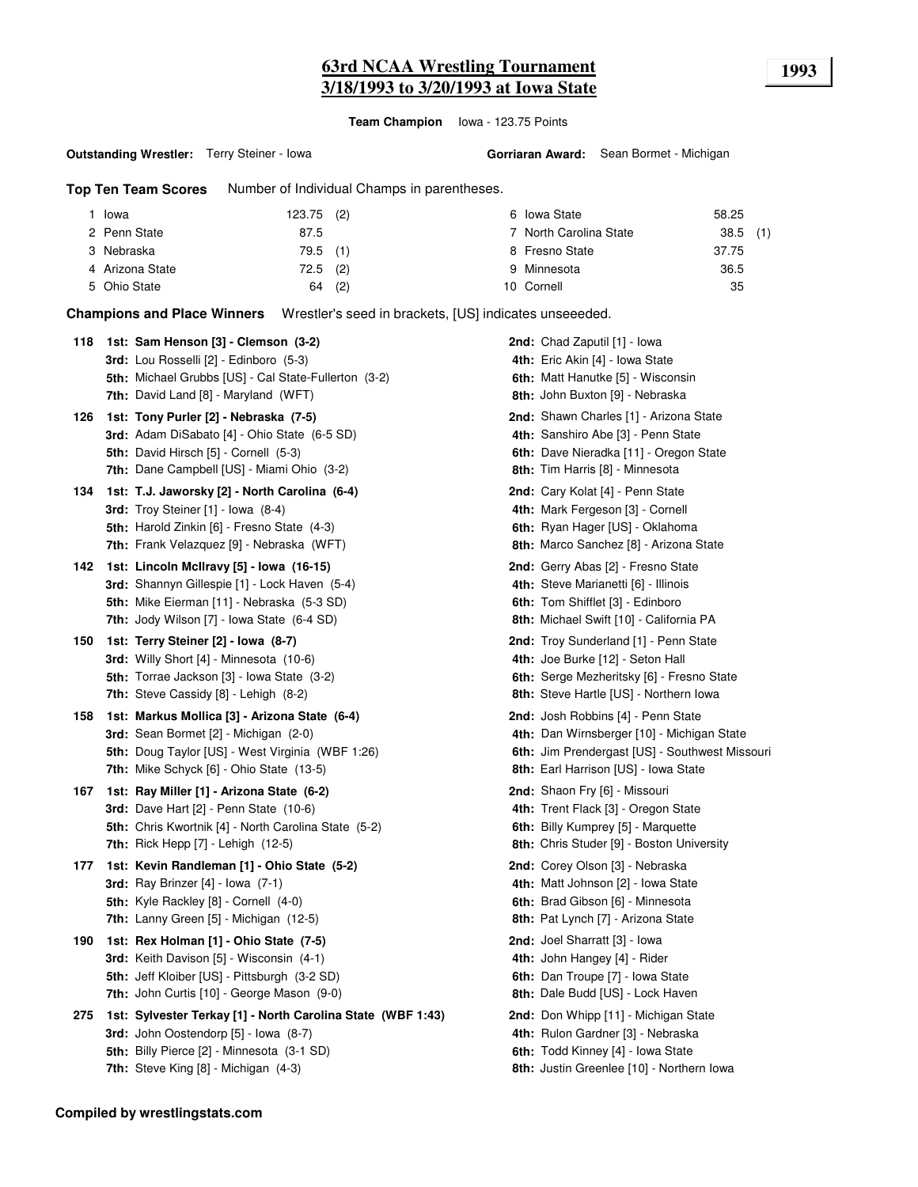### **63rd NCAA Wrestling Tournament 1993 3/18/1993 to 3/20/1993 at Iowa State**

**Team Champion** Iowa - 123.75 Points

**Outstanding Wrestler:** Terry Steiner - Iowa

**Gorriaran Award:** Sean Bormet - Michigan

**Top Ten Team Scores** Number of Individual Champs in parentheses.

| Iowa            | $123.75$ (2) |     | 6 Iowa State           | 58.25      |  |
|-----------------|--------------|-----|------------------------|------------|--|
| 2 Penn State    | 87.5         |     | 7 North Carolina State | $38.5$ (1) |  |
| 3 Nebraska      | 79.5 (1)     |     | 8 Fresno State         | 37.75      |  |
| 4 Arizona State | $72.5$ (2)   |     | 9 Minnesota            | 36.5       |  |
| 5 Ohio State    | 64           | (2) | 10 Cornell             | 35         |  |

**Champions and Place Winners** Wrestler's seed in brackets, [US] indicates unseeeded.

| 118 | 1st: Sam Henson [3] - Clemson (3-2)<br><b>3rd:</b> Lou Rosselli [2] - Edinboro (5-3)<br>5th: Michael Grubbs [US] - Cal State-Fullerton (3-2)<br><b>7th:</b> David Land [8] - Maryland (WFT)       | <b>2nd:</b> Chad Zaputil [1] - Iowa<br>4th: Eric Akin [4] - Iowa State<br>6th: Matt Hanutke [5] - Wisconsin<br>8th: John Buxton [9] - Nebraska                             |
|-----|---------------------------------------------------------------------------------------------------------------------------------------------------------------------------------------------------|----------------------------------------------------------------------------------------------------------------------------------------------------------------------------|
| 126 | 1st: Tony Purler [2] - Nebraska (7-5)<br>3rd: Adam DiSabato [4] - Ohio State (6-5 SD)<br>5th: David Hirsch [5] - Cornell (5-3)<br><b>7th:</b> Dane Campbell [US] - Miami Ohio (3-2)               | 2nd: Shawn Charles [1] - Arizona State<br>4th: Sanshiro Abe [3] - Penn State<br>6th: Dave Nieradka [11] - Oregon State<br>8th: Tim Harris [8] - Minnesota                  |
| 134 | 1st: T.J. Jaworsky [2] - North Carolina (6-4)<br>3rd: Troy Steiner $[1]$ - Iowa $(8-4)$<br>5th: Harold Zinkin [6] - Fresno State (4-3)<br>7th: Frank Velazquez [9] - Nebraska (WFT)               | 2nd: Cary Kolat [4] - Penn State<br>4th: Mark Fergeson [3] - Cornell<br>6th: Ryan Hager [US] - Oklahoma<br>8th: Marco Sanchez [8] - Arizona State                          |
| 142 | 1st: Lincoln McIlravy [5] - Iowa (16-15)<br>3rd: Shannyn Gillespie [1] - Lock Haven (5-4)<br>5th: Mike Eierman [11] - Nebraska (5-3 SD)<br><b>7th:</b> Jody Wilson [7] - Iowa State (6-4 SD)      | 2nd: Gerry Abas [2] - Fresno State<br>4th: Steve Marianetti [6] - Illinois<br>6th: Tom Shifflet [3] - Edinboro<br>8th: Michael Swift [10] - California PA                  |
| 150 | 1st: Terry Steiner [2] - Iowa (8-7)<br><b>3rd:</b> Willy Short $[4]$ - Minnesota $(10-6)$<br>5th: Torrae Jackson [3] - Iowa State (3-2)<br>7th: Steve Cassidy [8] - Lehigh (8-2)                  | 2nd: Troy Sunderland [1] - Penn State<br>4th: Joe Burke [12] - Seton Hall<br><b>6th:</b> Serge Mezheritsky [6] - Fresno State<br>8th: Steve Hartle [US] - Northern Iowa    |
| 158 | 1st: Markus Mollica [3] - Arizona State (6-4)<br><b>3rd:</b> Sean Bormet [2] - Michigan (2-0)<br>5th: Doug Taylor [US] - West Virginia (WBF 1:26)<br>7th: Mike Schyck [6] - Ohio State (13-5)     | 2nd: Josh Robbins [4] - Penn State<br>4th: Dan Wirnsberger [10] - Michigan State<br>6th: Jim Prendergast [US] - Southwest Missouri<br>8th: Earl Harrison [US] - Iowa State |
| 167 | 1st: Ray Miller [1] - Arizona State (6-2)<br><b>3rd:</b> Dave Hart [2] - Penn State (10-6)<br>5th: Chris Kwortnik [4] - North Carolina State (5-2)<br>7th: Rick Hepp [7] - Lehigh (12-5)          | 2nd: Shaon Fry [6] - Missouri<br>4th: Trent Flack [3] - Oregon State<br>6th: Billy Kumprey [5] - Marquette<br>8th: Chris Studer [9] - Boston University                    |
| 177 | 1st: Kevin Randleman [1] - Ohio State (5-2)<br>3rd: Ray Brinzer $[4]$ - Iowa $(7-1)$<br>5th: Kyle Rackley [8] - Cornell (4-0)<br>7th: Lanny Green [5] - Michigan (12-5)                           | 2nd: Corey Olson [3] - Nebraska<br>4th: Matt Johnson [2] - Iowa State<br>6th: Brad Gibson [6] - Minnesota<br>8th: Pat Lynch [7] - Arizona State                            |
| 190 | 1st: Rex Holman [1] - Ohio State (7-5)<br>3rd: Keith Davison [5] - Wisconsin (4-1)<br>5th: Jeff Kloiber [US] - Pittsburgh (3-2 SD)<br><b>7th: John Curtis [10] - George Mason (9-0)</b>           | 2nd: Joel Sharratt [3] - Iowa<br>4th: John Hangey [4] - Rider<br>6th: Dan Troupe [7] - Iowa State<br>8th: Dale Budd [US] - Lock Haven                                      |
| 275 | 1st: Sylvester Terkay [1] - North Carolina State (WBF 1:43)<br>3rd: John Oostendorp [5] - Iowa (8-7)<br><b>5th: Billy Pierce [2] - Minnesota (3-1 SD)</b><br>7th: Steve King [8] - Michigan (4-3) | 2nd: Don Whipp [11] - Michigan State<br>4th: Rulon Gardner [3] - Nebraska<br>6th: Todd Kinney [4] - Iowa State<br>8th: Justin Greenlee [10] - Northern Iowa                |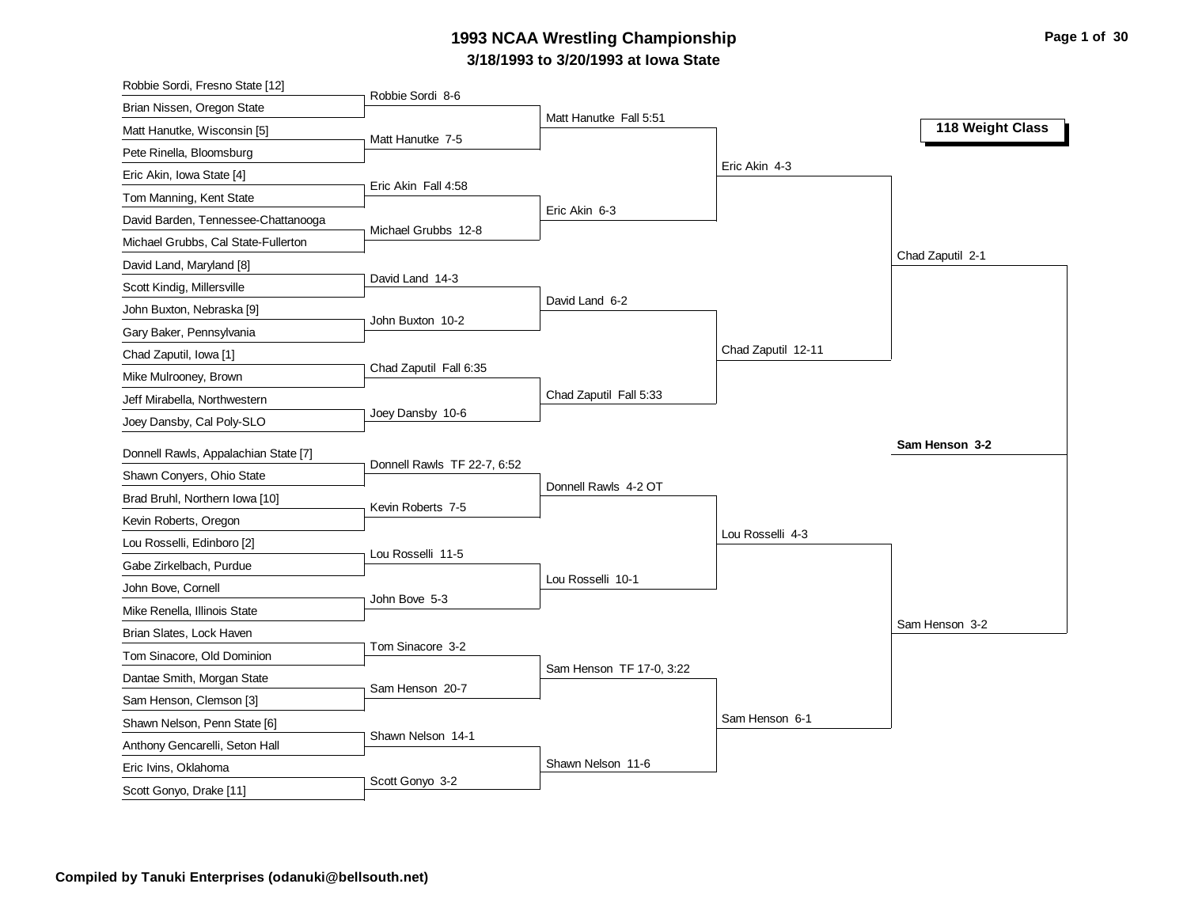# **3/18/1993 to 3/20/1993 at Iowa State 1993 NCAA Wrestling Championship Page 1 of 30**

| Robbie Sordi, Fresno State [12]                 |                             |                          |                    |                  |
|-------------------------------------------------|-----------------------------|--------------------------|--------------------|------------------|
| Brian Nissen, Oregon State                      | Robbie Sordi 8-6            |                          |                    |                  |
| Matt Hanutke, Wisconsin [5]                     | Matt Hanutke 7-5            | Matt Hanutke Fall 5:51   |                    | 118 Weight Class |
| Pete Rinella, Bloomsburg                        |                             |                          |                    |                  |
| Eric Akin, Iowa State [4]                       |                             |                          | Eric Akin 4-3      |                  |
| Tom Manning, Kent State                         | Eric Akin Fall 4:58         |                          |                    |                  |
| David Barden, Tennessee-Chattanooga             |                             | Eric Akin 6-3            |                    |                  |
| Michael Grubbs, Cal State-Fullerton             | Michael Grubbs 12-8         |                          |                    |                  |
| David Land, Maryland [8]                        |                             |                          |                    | Chad Zaputil 2-1 |
| Scott Kindig, Millersville                      | David Land 14-3             |                          |                    |                  |
| John Buxton, Nebraska [9]                       |                             | David Land 6-2           |                    |                  |
| Gary Baker, Pennsylvania                        | John Buxton 10-2            |                          |                    |                  |
| Chad Zaputil, Iowa [1]                          |                             |                          | Chad Zaputil 12-11 |                  |
| Mike Mulrooney, Brown                           | Chad Zaputil Fall 6:35      |                          |                    |                  |
| Jeff Mirabella, Northwestern                    |                             | Chad Zaputil Fall 5:33   |                    |                  |
| Joey Dansby, Cal Poly-SLO                       | Joey Dansby 10-6            |                          |                    |                  |
| Donnell Rawls, Appalachian State [7]            |                             |                          |                    | Sam Henson 3-2   |
| Shawn Conyers, Ohio State                       | Donnell Rawls TF 22-7, 6:52 |                          |                    |                  |
|                                                 |                             |                          |                    |                  |
|                                                 |                             | Donnell Rawls 4-2 OT     |                    |                  |
| Brad Bruhl, Northern Iowa [10]                  | Kevin Roberts 7-5           |                          |                    |                  |
| Kevin Roberts, Oregon                           |                             |                          | Lou Rosselli 4-3   |                  |
| Lou Rosselli, Edinboro [2]                      | Lou Rosselli 11-5           |                          |                    |                  |
| Gabe Zirkelbach, Purdue                         |                             | Lou Rosselli 10-1        |                    |                  |
| John Bove, Cornell                              | John Bove 5-3               |                          |                    |                  |
| Mike Renella, Illinois State                    |                             |                          |                    | Sam Henson 3-2   |
| Brian Slates, Lock Haven                        | Tom Sinacore 3-2            |                          |                    |                  |
| Tom Sinacore, Old Dominion                      |                             | Sam Henson TF 17-0, 3:22 |                    |                  |
| Dantae Smith, Morgan State                      | Sam Henson 20-7             |                          |                    |                  |
| Sam Henson, Clemson [3]                         |                             |                          |                    |                  |
| Shawn Nelson, Penn State [6]                    | Shawn Nelson 14-1           |                          | Sam Henson 6-1     |                  |
| Anthony Gencarelli, Seton Hall                  |                             |                          |                    |                  |
| Eric Ivins, Oklahoma<br>Scott Gonyo, Drake [11] | Scott Gonyo 3-2             | Shawn Nelson 11-6        |                    |                  |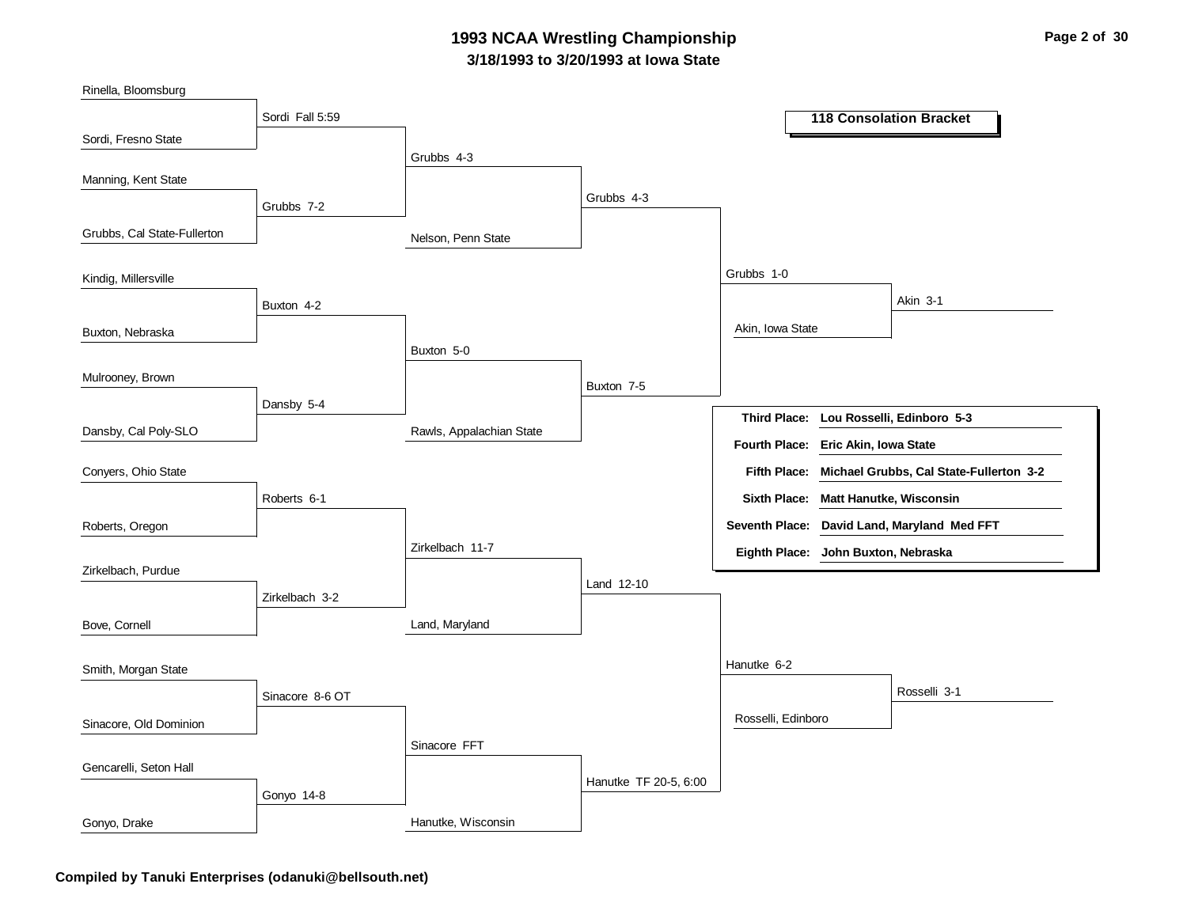### **3/18/1993 to 3/20/1993 at Iowa State 1993 NCAA Wrestling Championship Page 2 of 30**

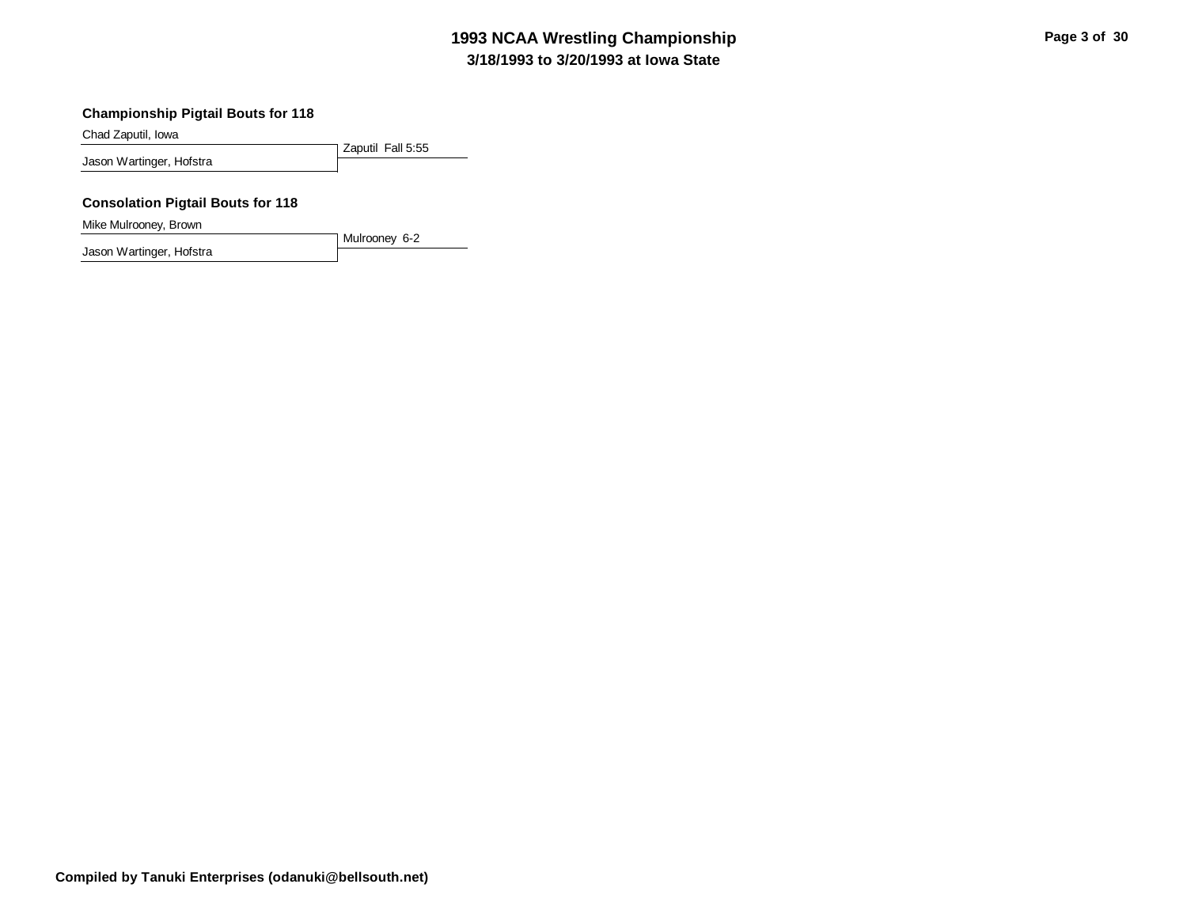# **3/18/1993 to 3/20/1993 at Iowa State 1993 NCAA Wrestling Championship Page 3 of 30**

#### **Championship Pigtail Bouts for 118**

Chad Zaputil, Iowa

Zaputil Fall 5:55 Jason Wartinger, Hofstra

#### **Consolation Pigtail Bouts for 118**

Mike Mulrooney, Brown

Mulrooney 6-2 Jason Wartinger, Hofstra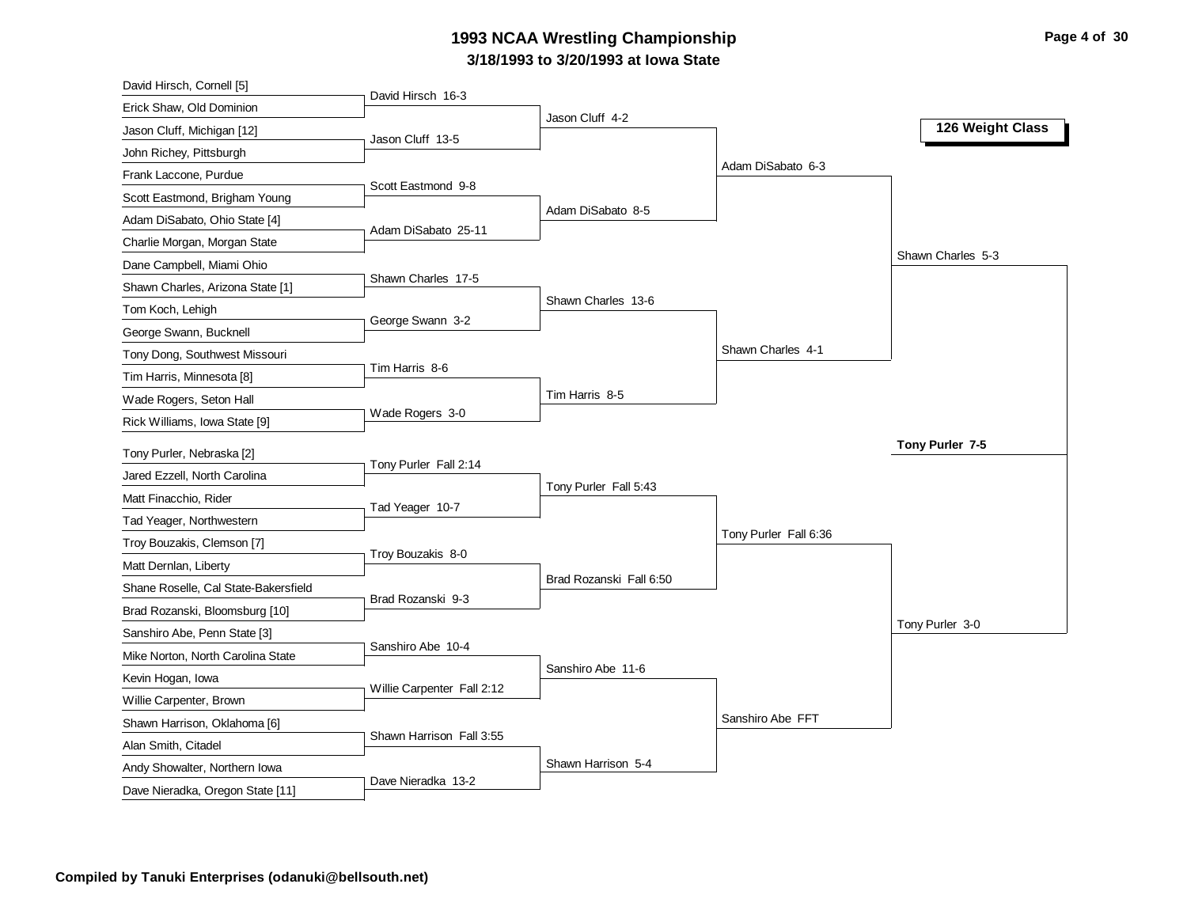# **3/18/1993 to 3/20/1993 at Iowa State 1993 NCAA Wrestling Championship Page 4 of 30**

| David Hirsch, Cornell [5]                                 |                            |                         |                       |                   |
|-----------------------------------------------------------|----------------------------|-------------------------|-----------------------|-------------------|
| Erick Shaw, Old Dominion                                  | David Hirsch 16-3          |                         |                       |                   |
| Jason Cluff, Michigan [12]                                | Jason Cluff 13-5           | Jason Cluff 4-2         |                       | 126 Weight Class  |
| John Richey, Pittsburgh                                   |                            |                         |                       |                   |
| Frank Laccone, Purdue                                     |                            |                         | Adam DiSabato 6-3     |                   |
| Scott Eastmond, Brigham Young                             | Scott Eastmond 9-8         |                         |                       |                   |
| Adam DiSabato, Ohio State [4]                             |                            | Adam DiSabato 8-5       |                       |                   |
| Charlie Morgan, Morgan State                              | Adam DiSabato 25-11        |                         |                       |                   |
| Dane Campbell, Miami Ohio                                 |                            |                         |                       | Shawn Charles 5-3 |
| Shawn Charles, Arizona State [1]                          | Shawn Charles 17-5         |                         |                       |                   |
| Tom Koch, Lehigh                                          |                            | Shawn Charles 13-6      |                       |                   |
| George Swann, Bucknell                                    | George Swann 3-2           |                         |                       |                   |
| Tony Dong, Southwest Missouri                             |                            |                         | Shawn Charles 4-1     |                   |
| Tim Harris, Minnesota [8]                                 | Tim Harris 8-6             |                         |                       |                   |
| Wade Rogers, Seton Hall                                   |                            | Tim Harris 8-5          |                       |                   |
| Rick Williams, Iowa State [9]                             | Wade Rogers 3-0            |                         |                       |                   |
|                                                           |                            |                         |                       | Tony Purler 7-5   |
| Tony Purler, Nebraska [2]<br>Jared Ezzell, North Carolina | Tony Purler Fall 2:14      |                         |                       |                   |
|                                                           |                            | Tony Purler Fall 5:43   |                       |                   |
| Matt Finacchio, Rider                                     | Tad Yeager 10-7            |                         |                       |                   |
| Tad Yeager, Northwestern                                  |                            |                         | Tony Purler Fall 6:36 |                   |
| Troy Bouzakis, Clemson [7]                                | Troy Bouzakis 8-0          |                         |                       |                   |
| Matt Dernlan, Liberty                                     |                            | Brad Rozanski Fall 6:50 |                       |                   |
| Shane Roselle, Cal State-Bakersfield                      | Brad Rozanski 9-3          |                         |                       |                   |
| Brad Rozanski, Bloomsburg [10]                            |                            |                         |                       | Tony Purler 3-0   |
| Sanshiro Abe, Penn State [3]                              | Sanshiro Abe 10-4          |                         |                       |                   |
| Mike Norton, North Carolina State                         |                            | Sanshiro Abe 11-6       |                       |                   |
| Kevin Hogan, Iowa                                         | Willie Carpenter Fall 2:12 |                         |                       |                   |
| Willie Carpenter, Brown                                   |                            |                         | Sanshiro Abe FFT      |                   |
| Shawn Harrison, Oklahoma [6]                              | Shawn Harrison Fall 3:55   |                         |                       |                   |
| Alan Smith, Citadel                                       |                            | Shawn Harrison 5-4      |                       |                   |
| Andy Showalter, Northern Iowa                             | Dave Nieradka 13-2         |                         |                       |                   |
| Dave Nieradka, Oregon State [11]                          |                            |                         |                       |                   |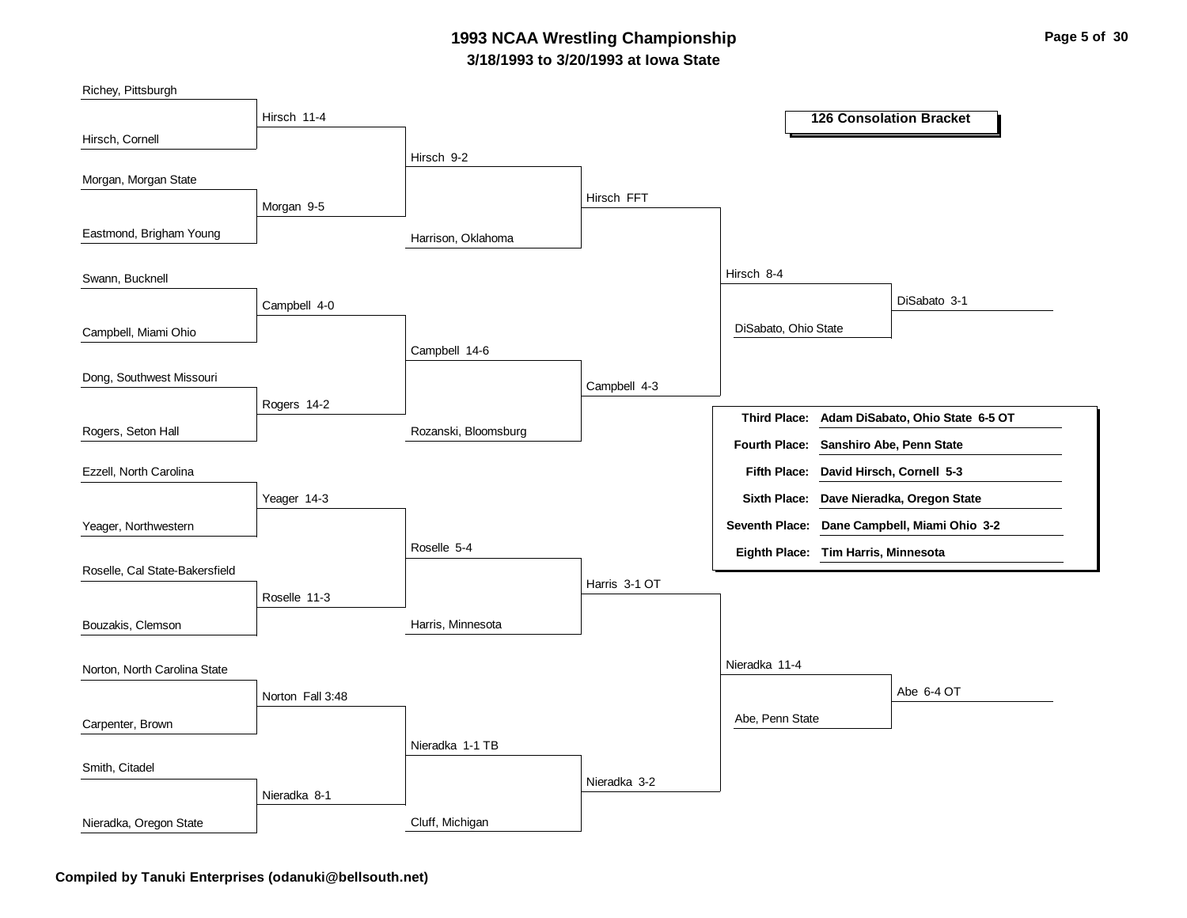### **3/18/1993 to 3/20/1993 at Iowa State 1993 NCAA Wrestling Championship Page 5 of 30**

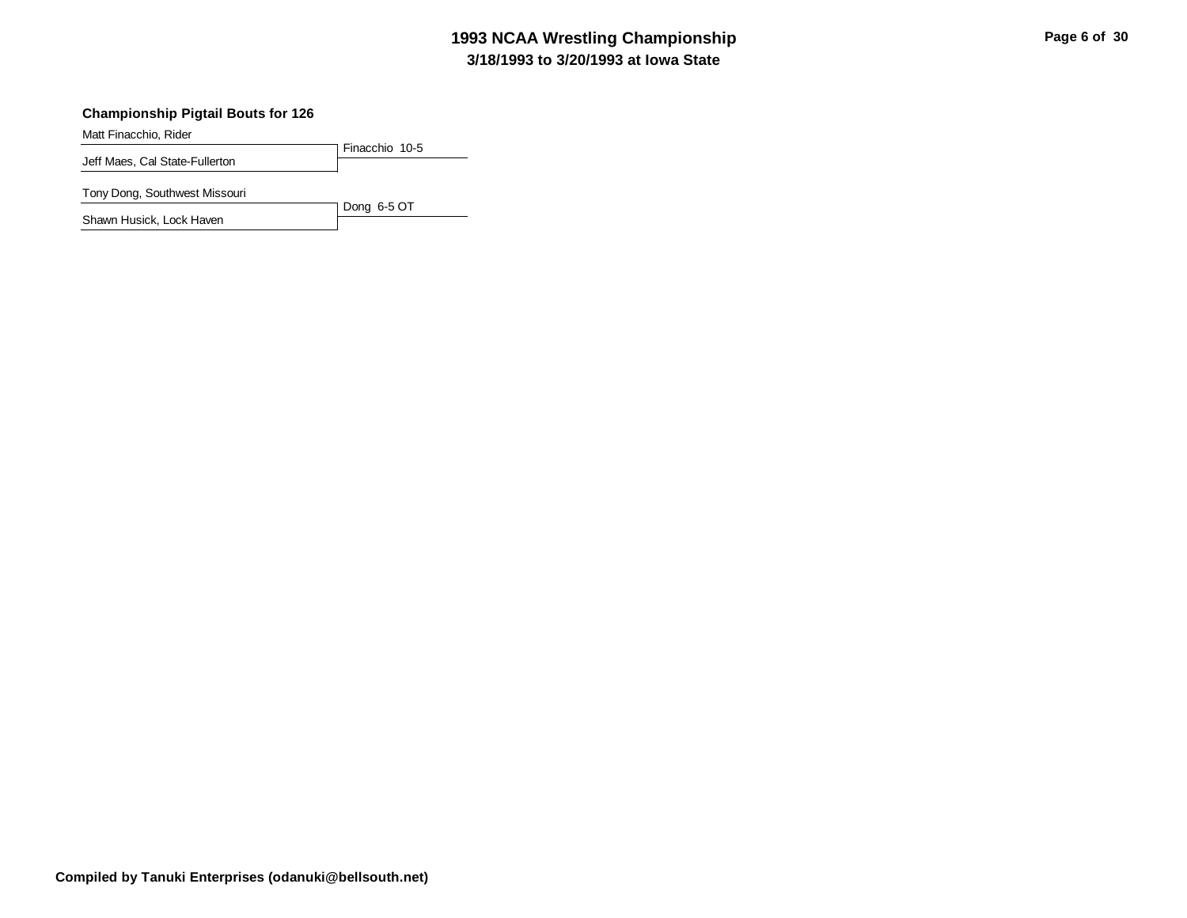# **3/18/1993 to 3/20/1993 at Iowa State 1993 NCAA Wrestling Championship Page 6 of 30**

#### **Championship Pigtail Bouts for 126**

Matt Finacchio, Rider

Finacchio 10-5 Jeff Maes, Cal State-Fullerton

Dong 6-5 OT

Tony Dong, Southwest Missouri

Shawn Husick, Lock Haven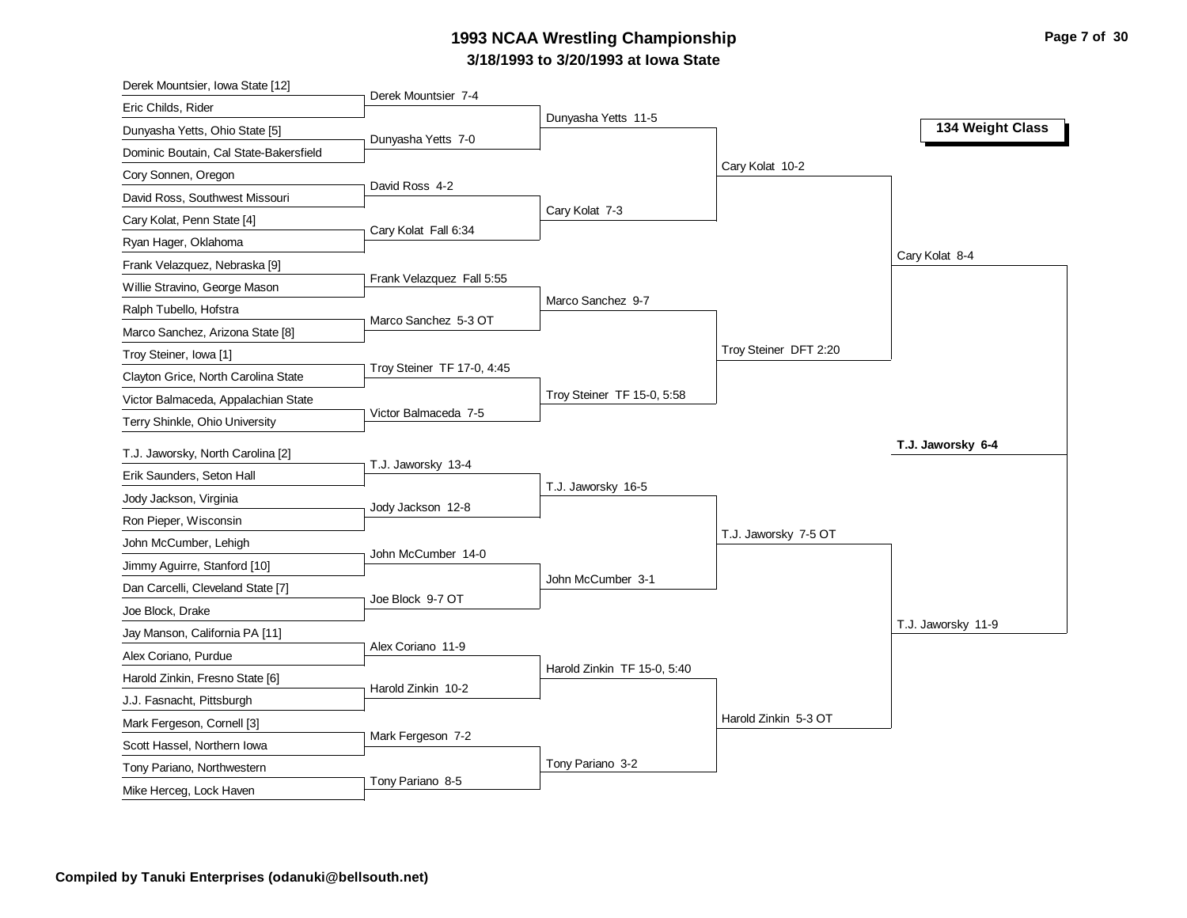# **3/18/1993 to 3/20/1993 at Iowa State 1993 NCAA Wrestling Championship Page 7 of 30**

| Derek Mountsier, Iowa State [12]                          |                            |                             |                       |                    |
|-----------------------------------------------------------|----------------------------|-----------------------------|-----------------------|--------------------|
| Eric Childs, Rider                                        | Derek Mountsier 7-4        |                             |                       |                    |
| Dunyasha Yetts, Ohio State [5]                            | Dunyasha Yetts 7-0         | Dunyasha Yetts 11-5         |                       | 134 Weight Class   |
| Dominic Boutain, Cal State-Bakersfield                    |                            |                             |                       |                    |
| Cory Sonnen, Oregon                                       |                            |                             | Cary Kolat 10-2       |                    |
| David Ross, Southwest Missouri                            | David Ross 4-2             |                             |                       |                    |
| Cary Kolat, Penn State [4]                                |                            | Cary Kolat 7-3              |                       |                    |
| Ryan Hager, Oklahoma                                      | Cary Kolat Fall 6:34       |                             |                       |                    |
| Frank Velazquez, Nebraska [9]                             |                            |                             |                       | Cary Kolat 8-4     |
| Willie Stravino, George Mason                             | Frank Velazquez Fall 5:55  |                             |                       |                    |
| Ralph Tubello, Hofstra                                    | Marco Sanchez 5-3 OT       | Marco Sanchez 9-7           |                       |                    |
| Marco Sanchez, Arizona State [8]                          |                            |                             |                       |                    |
| Troy Steiner, Iowa [1]                                    |                            |                             | Troy Steiner DFT 2:20 |                    |
| Clayton Grice, North Carolina State                       | Troy Steiner TF 17-0, 4:45 |                             |                       |                    |
| Victor Balmaceda, Appalachian State                       |                            | Troy Steiner TF 15-0, 5:58  |                       |                    |
| Terry Shinkle, Ohio University                            | Victor Balmaceda 7-5       |                             |                       |                    |
| T.J. Jaworsky, North Carolina [2]                         |                            |                             |                       | T.J. Jaworsky 6-4  |
|                                                           | T.J. Jaworsky 13-4         |                             |                       |                    |
|                                                           |                            |                             |                       |                    |
| Erik Saunders, Seton Hall                                 |                            | T.J. Jaworsky 16-5          |                       |                    |
| Jody Jackson, Virginia                                    | Jody Jackson 12-8          |                             |                       |                    |
| Ron Pieper, Wisconsin                                     |                            |                             | T.J. Jaworsky 7-5 OT  |                    |
| John McCumber, Lehigh                                     | John McCumber 14-0         |                             |                       |                    |
| Jimmy Aguirre, Stanford [10]                              |                            | John McCumber 3-1           |                       |                    |
| Dan Carcelli, Cleveland State [7]                         | Joe Block 9-7 OT           |                             |                       |                    |
| Joe Block, Drake                                          |                            |                             |                       | T.J. Jaworsky 11-9 |
| Jay Manson, California PA [11]                            | Alex Coriano 11-9          |                             |                       |                    |
| Alex Coriano, Purdue                                      |                            | Harold Zinkin TF 15-0, 5:40 |                       |                    |
| Harold Zinkin, Fresno State [6]                           | Harold Zinkin 10-2         |                             |                       |                    |
| J.J. Fasnacht, Pittsburgh                                 |                            |                             | Harold Zinkin 5-3 OT  |                    |
| Mark Fergeson, Cornell [3]                                | Mark Fergeson 7-2          |                             |                       |                    |
| Scott Hassel, Northern Iowa<br>Tony Pariano, Northwestern |                            | Tony Pariano 3-2            |                       |                    |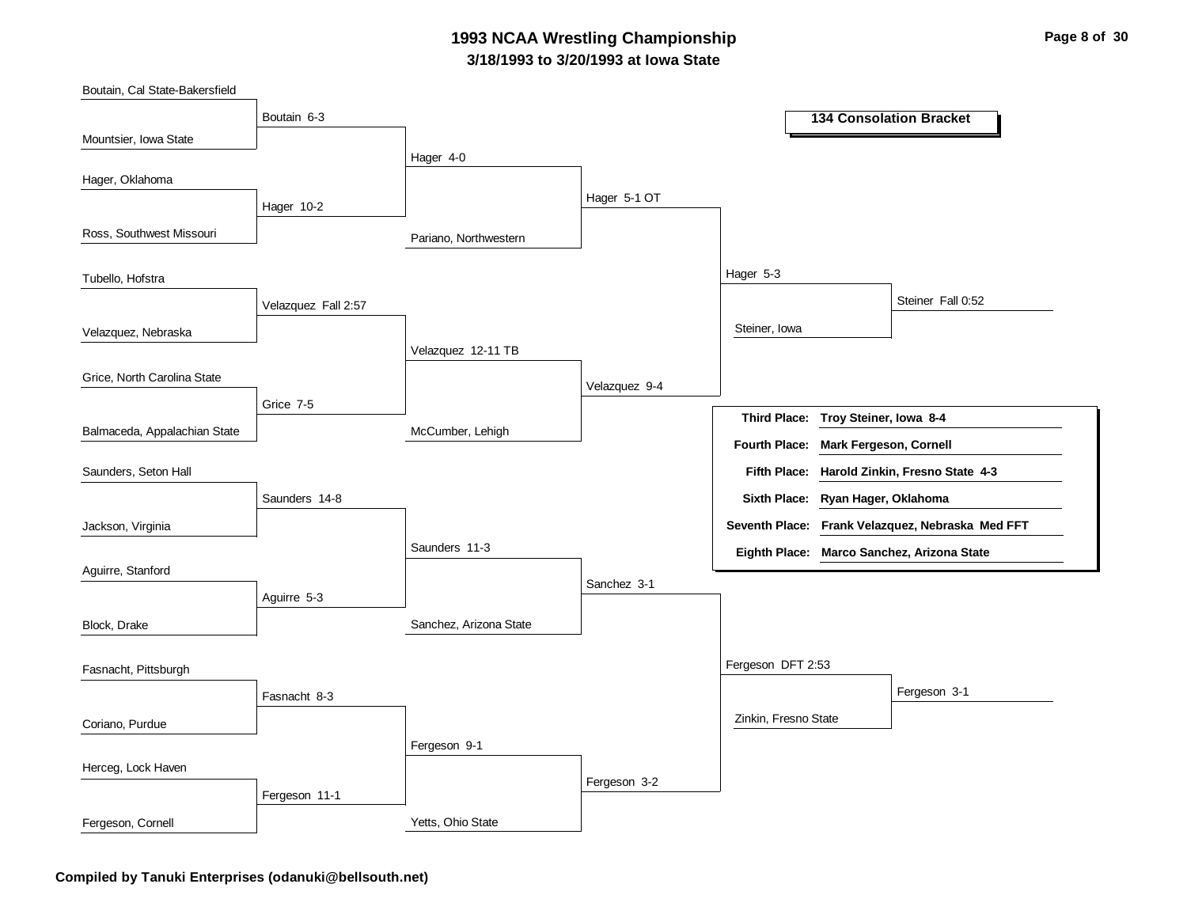### **3/18/1993 to 3/20/1993 at Iowa State 1993 NCAA Wrestling Championship Page 8 of 30**

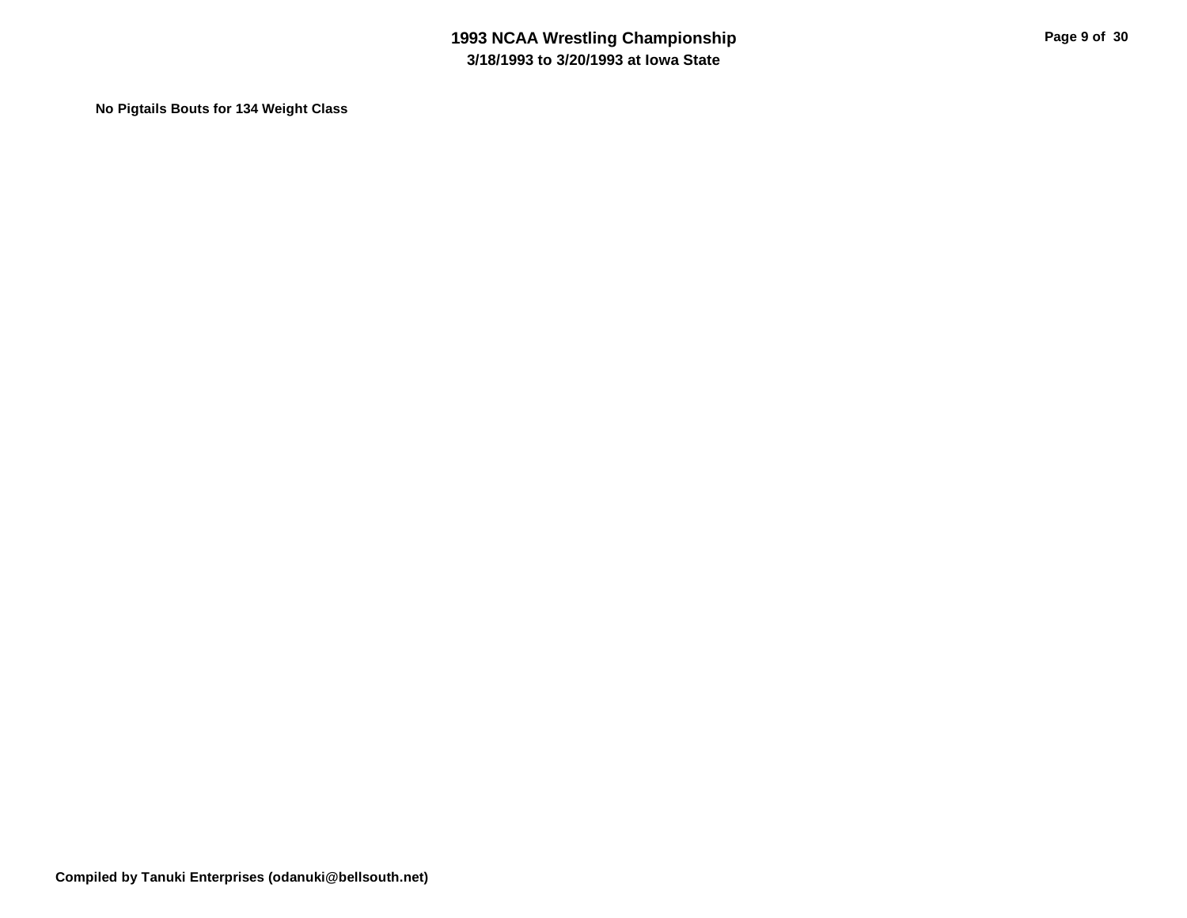**No Pigtails Bouts for 134 Weight Class**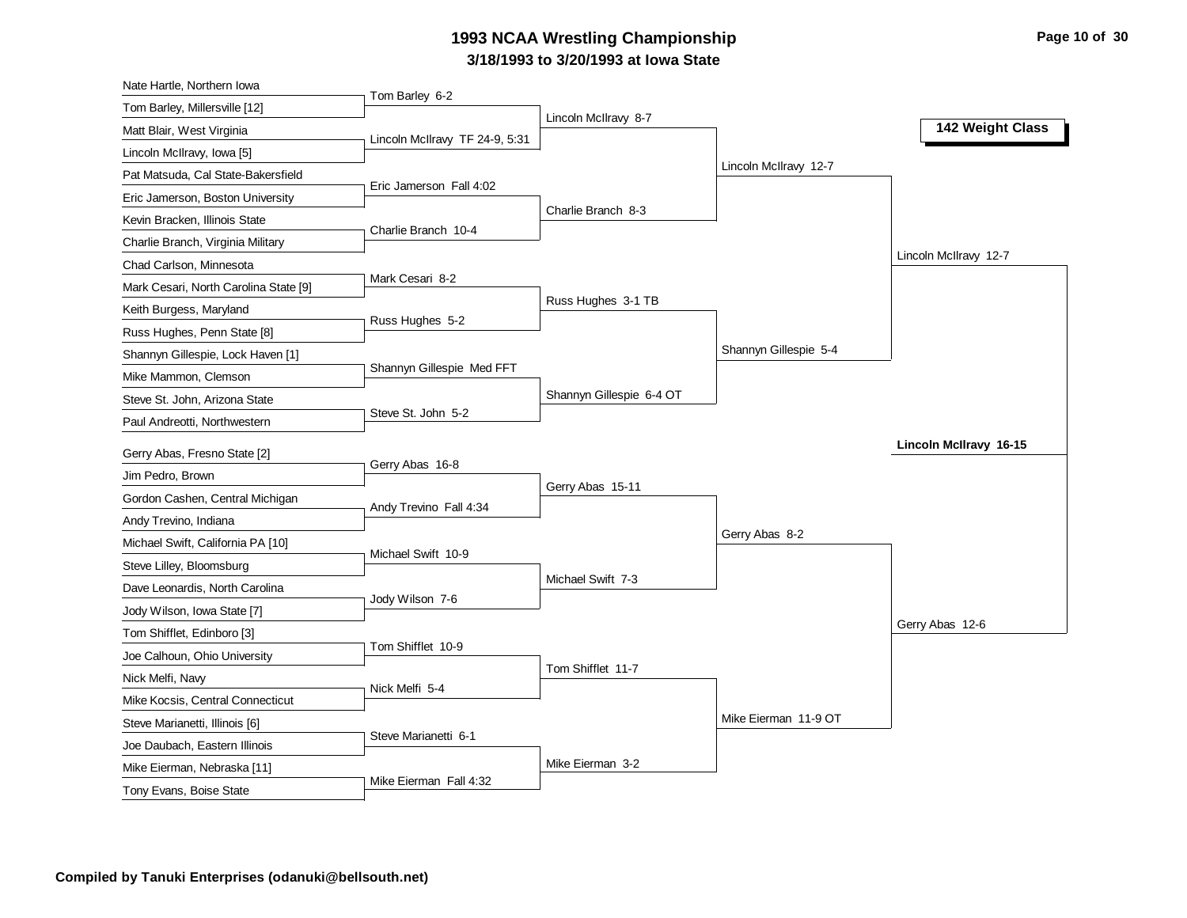# **3/18/1993 to 3/20/1993 at Iowa State 1993 NCAA Wrestling Championship Page 10 of 30 Page 10 of 30**

| Nate Hartle, Northern Iowa                             |                                |                          |                       |                        |
|--------------------------------------------------------|--------------------------------|--------------------------|-----------------------|------------------------|
| Tom Barley, Millersville [12]                          | Tom Barley 6-2                 |                          |                       |                        |
| Matt Blair, West Virginia                              |                                | Lincoln McIlravy 8-7     |                       | 142 Weight Class       |
| Lincoln McIlravy, Iowa [5]                             | Lincoln McIlravy TF 24-9, 5:31 |                          |                       |                        |
| Pat Matsuda, Cal State-Bakersfield                     |                                |                          | Lincoln McIlravy 12-7 |                        |
| Eric Jamerson, Boston University                       | Eric Jamerson Fall 4:02        |                          |                       |                        |
| Kevin Bracken, Illinois State                          |                                | Charlie Branch 8-3       |                       |                        |
| Charlie Branch, Virginia Military                      | Charlie Branch 10-4            |                          |                       |                        |
| Chad Carlson, Minnesota                                |                                |                          |                       | Lincoln McIlravy 12-7  |
| Mark Cesari, North Carolina State [9]                  | Mark Cesari 8-2                |                          |                       |                        |
| Keith Burgess, Maryland                                |                                | Russ Hughes 3-1 TB       |                       |                        |
| Russ Hughes, Penn State [8]                            | Russ Hughes 5-2                |                          |                       |                        |
| Shannyn Gillespie, Lock Haven [1]                      |                                |                          | Shannyn Gillespie 5-4 |                        |
| Mike Mammon, Clemson                                   | Shannyn Gillespie Med FFT      |                          |                       |                        |
| Steve St. John, Arizona State                          |                                | Shannyn Gillespie 6-4 OT |                       |                        |
| Paul Andreotti, Northwestern                           | Steve St. John 5-2             |                          |                       |                        |
|                                                        |                                |                          |                       | Lincoln McIlravy 16-15 |
| Gerry Abas, Fresno State [2]                           |                                |                          |                       |                        |
|                                                        | Gerry Abas 16-8                |                          |                       |                        |
| Jim Pedro, Brown                                       |                                | Gerry Abas 15-11         |                       |                        |
| Gordon Cashen, Central Michigan                        | Andy Trevino Fall 4:34         |                          |                       |                        |
| Andy Trevino, Indiana                                  |                                |                          | Gerry Abas 8-2        |                        |
| Michael Swift, California PA [10]                      | Michael Swift 10-9             |                          |                       |                        |
| Steve Lilley, Bloomsburg                               |                                | Michael Swift 7-3        |                       |                        |
| Dave Leonardis, North Carolina                         | Jody Wilson 7-6                |                          |                       |                        |
| Jody Wilson, Iowa State [7]                            |                                |                          |                       | Gerry Abas 12-6        |
| Tom Shifflet, Edinboro [3]                             | Tom Shifflet 10-9              |                          |                       |                        |
| Joe Calhoun, Ohio University                           |                                | Tom Shifflet 11-7        |                       |                        |
| Nick Melfi, Navy                                       | Nick Melfi 5-4                 |                          |                       |                        |
| Mike Kocsis, Central Connecticut                       |                                |                          |                       |                        |
| Steve Marianetti, Illinois [6]                         | Steve Marianetti 6-1           |                          | Mike Eierman 11-9 OT  |                        |
| Joe Daubach, Eastern Illinois                          |                                |                          |                       |                        |
| Mike Eierman, Nebraska [11]<br>Tony Evans, Boise State | Mike Eierman Fall 4:32         | Mike Eierman 3-2         |                       |                        |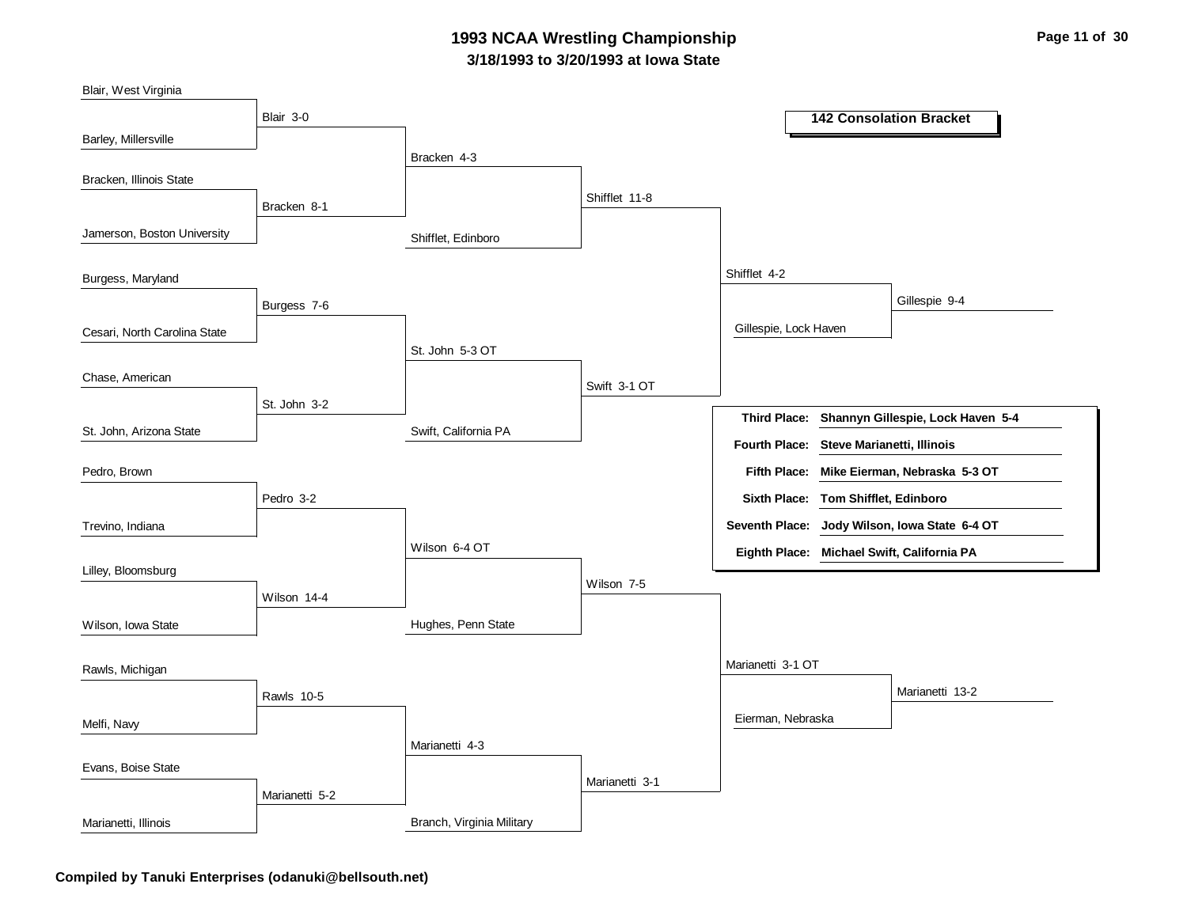### **3/18/1993 to 3/20/1993 at Iowa State 1993 NCAA Wrestling Championship Page 11 of 30**

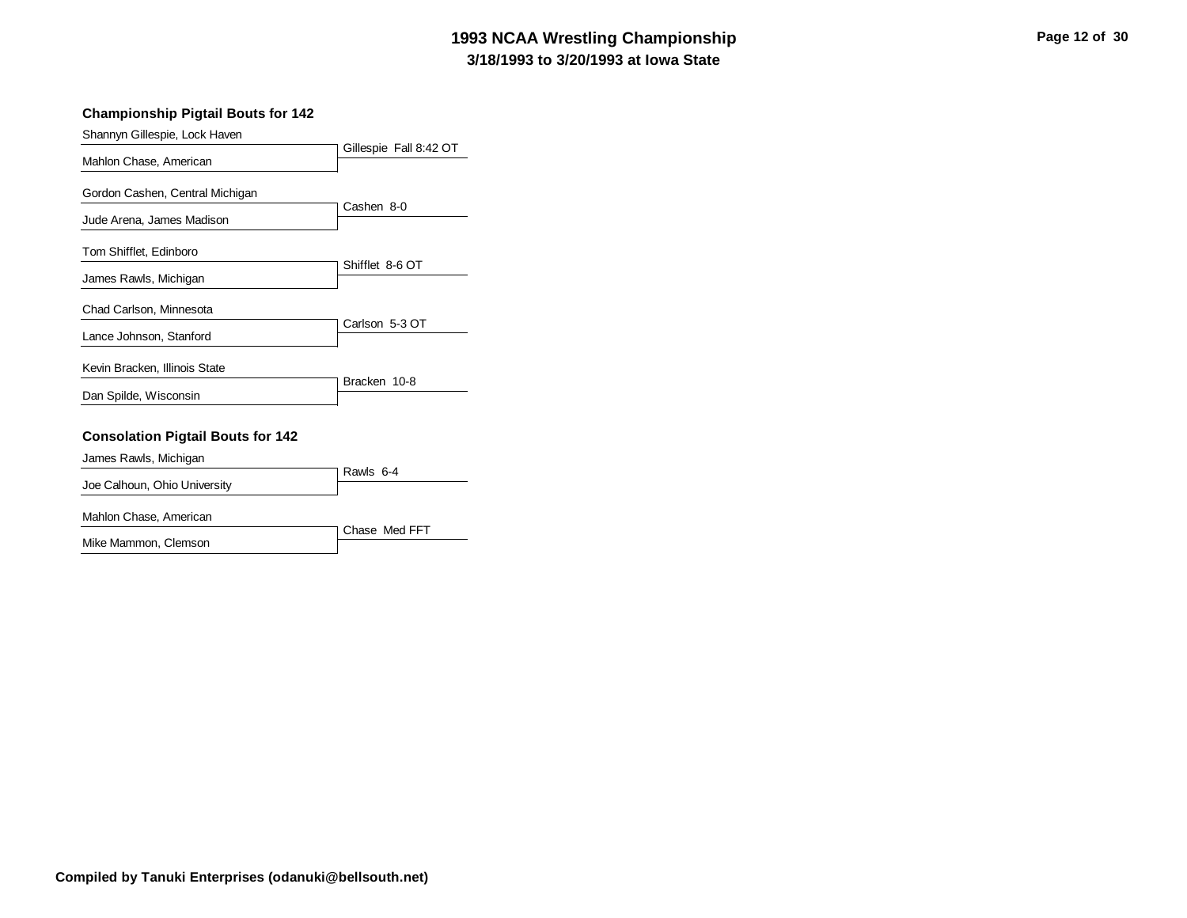# **3/18/1993 to 3/20/1993 at Iowa State 1993 NCAA Wrestling Championship Page 12 of 30**

#### **Championship Pigtail Bouts for 142**

Shannyn Gillespie, Lock Haven

|                                          | Gillespie Fall 8:42 OT |
|------------------------------------------|------------------------|
| Mahlon Chase, American                   |                        |
| Gordon Cashen, Central Michigan          |                        |
| Jude Arena, James Madison                | Cashen 8-0             |
| Tom Shifflet, Edinboro                   | Shifflet 8-6 OT        |
| James Rawls, Michigan                    |                        |
| Chad Carlson, Minnesota                  |                        |
| Lance Johnson, Stanford                  | Carlson 5-3 OT         |
| Kevin Bracken, Illinois State            | Bracken 10-8           |
| Dan Spilde, Wisconsin                    |                        |
| <b>Consolation Pigtail Bouts for 142</b> |                        |
| James Rawls, Michigan                    |                        |
| Joe Calhoun, Ohio University             | Rawls 6-4              |

Chase Med FFT

Mahlon Chase, American

Mike Mammon, Clemson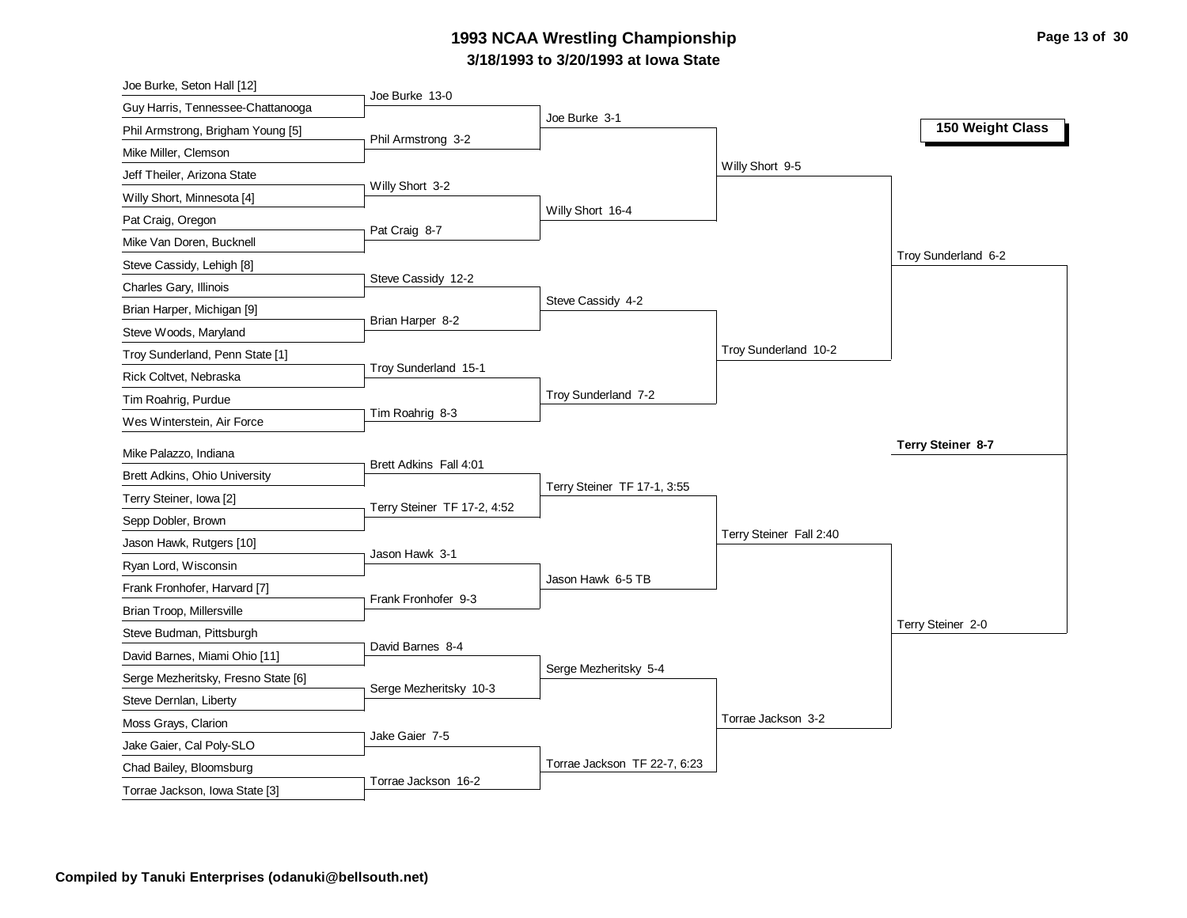# **3/18/1993 to 3/20/1993 at Iowa State 1993 NCAA Wrestling Championship Page 13 of 30**

| Joe Burke, Seton Hall [12]                                |                             |                              |                         |                     |
|-----------------------------------------------------------|-----------------------------|------------------------------|-------------------------|---------------------|
| Guy Harris, Tennessee-Chattanooga                         | Joe Burke 13-0              |                              |                         |                     |
| Phil Armstrong, Brigham Young [5]                         |                             | Joe Burke 3-1                |                         | 150 Weight Class    |
| Mike Miller, Clemson                                      | Phil Armstrong 3-2          |                              |                         |                     |
| Jeff Theiler, Arizona State                               |                             |                              | Willy Short 9-5         |                     |
| Willy Short, Minnesota [4]                                | Willy Short 3-2             |                              |                         |                     |
| Pat Craig, Oregon                                         |                             | Willy Short 16-4             |                         |                     |
| Mike Van Doren, Bucknell                                  | Pat Craig 8-7               |                              |                         |                     |
| Steve Cassidy, Lehigh [8]                                 |                             |                              |                         | Troy Sunderland 6-2 |
| Charles Gary, Illinois                                    | Steve Cassidy 12-2          |                              |                         |                     |
| Brian Harper, Michigan [9]                                |                             | Steve Cassidy 4-2            |                         |                     |
| Steve Woods, Maryland                                     | Brian Harper 8-2            |                              |                         |                     |
| Troy Sunderland, Penn State [1]                           |                             |                              | Troy Sunderland 10-2    |                     |
| Rick Coltvet, Nebraska                                    | Troy Sunderland 15-1        |                              |                         |                     |
| Tim Roahrig, Purdue                                       |                             | Troy Sunderland 7-2          |                         |                     |
| Wes Winterstein, Air Force                                | Tim Roahrig 8-3             |                              |                         |                     |
|                                                           |                             |                              |                         |                     |
|                                                           |                             |                              |                         | Terry Steiner 8-7   |
| Mike Palazzo, Indiana                                     | Brett Adkins Fall 4:01      |                              |                         |                     |
| Brett Adkins, Ohio University                             |                             | Terry Steiner TF 17-1, 3:55  |                         |                     |
| Terry Steiner, Iowa [2]                                   | Terry Steiner TF 17-2, 4:52 |                              |                         |                     |
| Sepp Dobler, Brown                                        |                             |                              | Terry Steiner Fall 2:40 |                     |
| Jason Hawk, Rutgers [10]                                  | Jason Hawk 3-1              |                              |                         |                     |
| Ryan Lord, Wisconsin                                      |                             | Jason Hawk 6-5 TB            |                         |                     |
| Frank Fronhofer, Harvard [7]                              | Frank Fronhofer 9-3         |                              |                         |                     |
| Brian Troop, Millersville                                 |                             |                              |                         | Terry Steiner 2-0   |
| Steve Budman, Pittsburgh                                  | David Barnes 8-4            |                              |                         |                     |
| David Barnes, Miami Ohio [11]                             |                             | Serge Mezheritsky 5-4        |                         |                     |
| Serge Mezheritsky, Fresno State [6]                       | Serge Mezheritsky 10-3      |                              |                         |                     |
| Steve Dernlan, Liberty                                    |                             |                              |                         |                     |
| Moss Grays, Clarion                                       | Jake Gaier 7-5              |                              | Torrae Jackson 3-2      |                     |
| Jake Gaier, Cal Poly-SLO                                  |                             |                              |                         |                     |
| Chad Bailey, Bloomsburg<br>Torrae Jackson, Iowa State [3] | Torrae Jackson 16-2         | Torrae Jackson TF 22-7, 6:23 |                         |                     |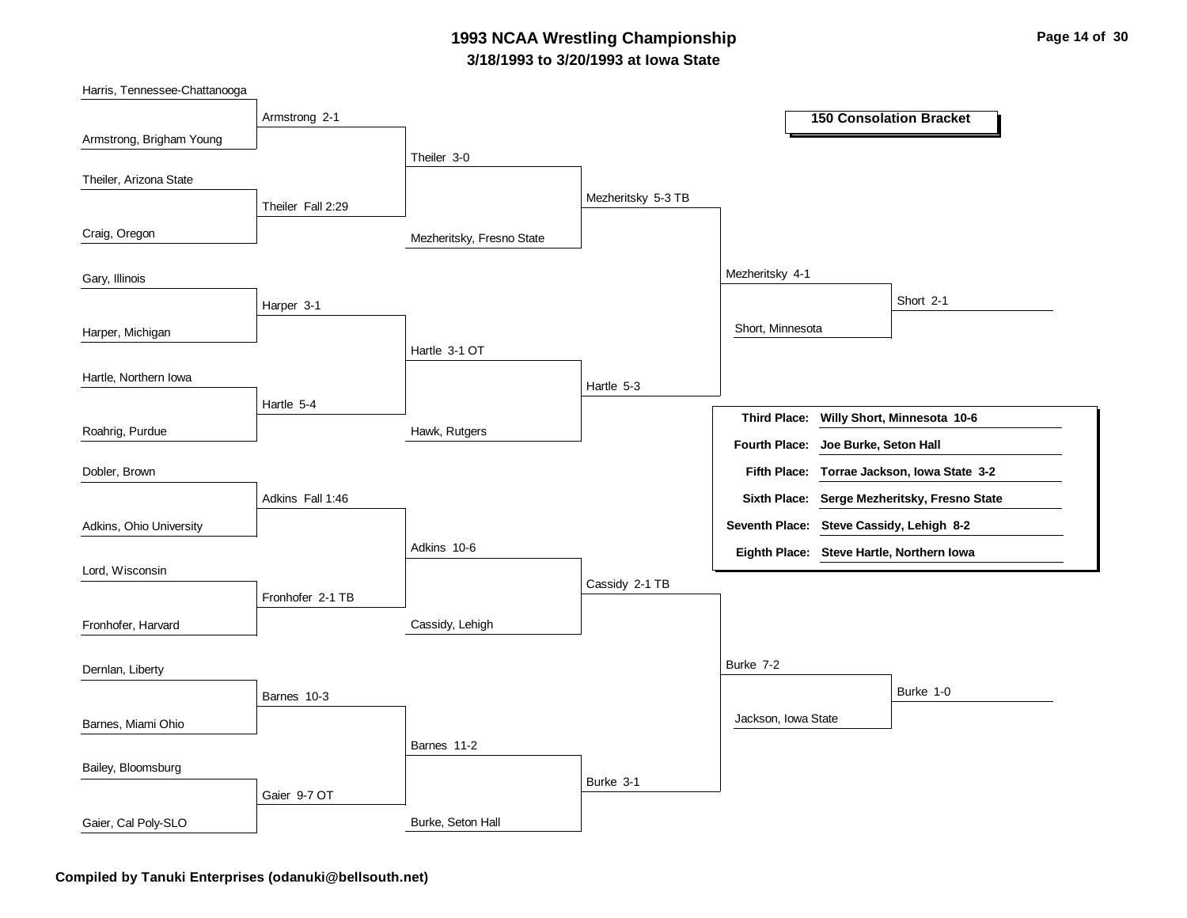### **3/18/1993 to 3/20/1993 at Iowa State 1993 NCAA Wrestling Championship Page 14 of 30**

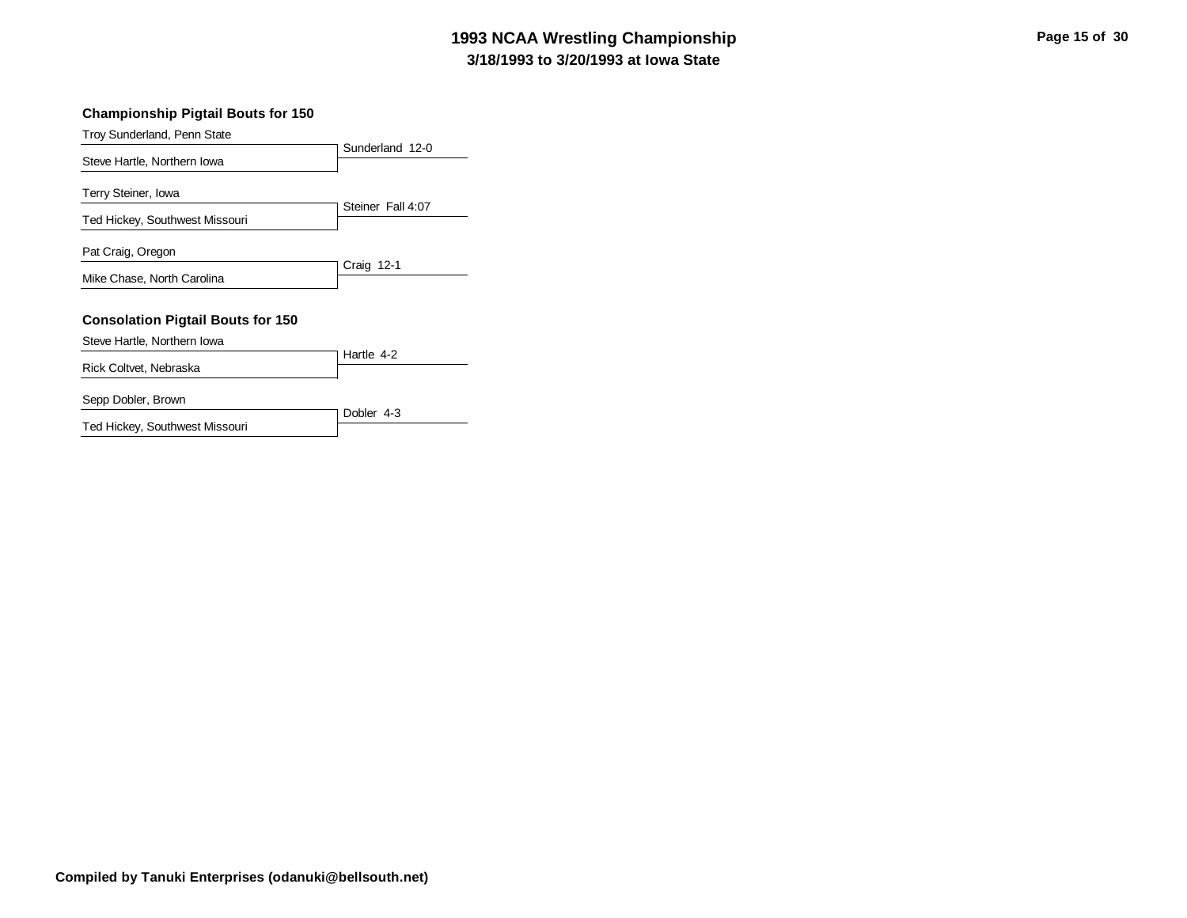# **3/18/1993 to 3/20/1993 at Iowa State 1993 NCAA Wrestling Championship Page 15 of 30**

#### **Championship Pigtail Bouts for 150**

Troy Sunderland, Penn State

| 110, Odinachtana, Polin Otalc                         |                   |
|-------------------------------------------------------|-------------------|
| Steve Hartle, Northern Iowa                           | Sunderland 12-0   |
| Terry Steiner, Iowa<br>Ted Hickey, Southwest Missouri | Steiner Fall 4:07 |
| Pat Craig, Oregon                                     |                   |
|                                                       | Craig 12-1        |
| Mike Chase, North Carolina                            |                   |
| <b>Consolation Pigtail Bouts for 150</b>              |                   |
| Steve Hartle, Northern Iowa                           |                   |
| Rick Coltvet, Nebraska                                | Hartle 4-2        |
| Sepp Dobler, Brown                                    |                   |
| Ted Hickey, Southwest Missouri                        | Dobler 4-3        |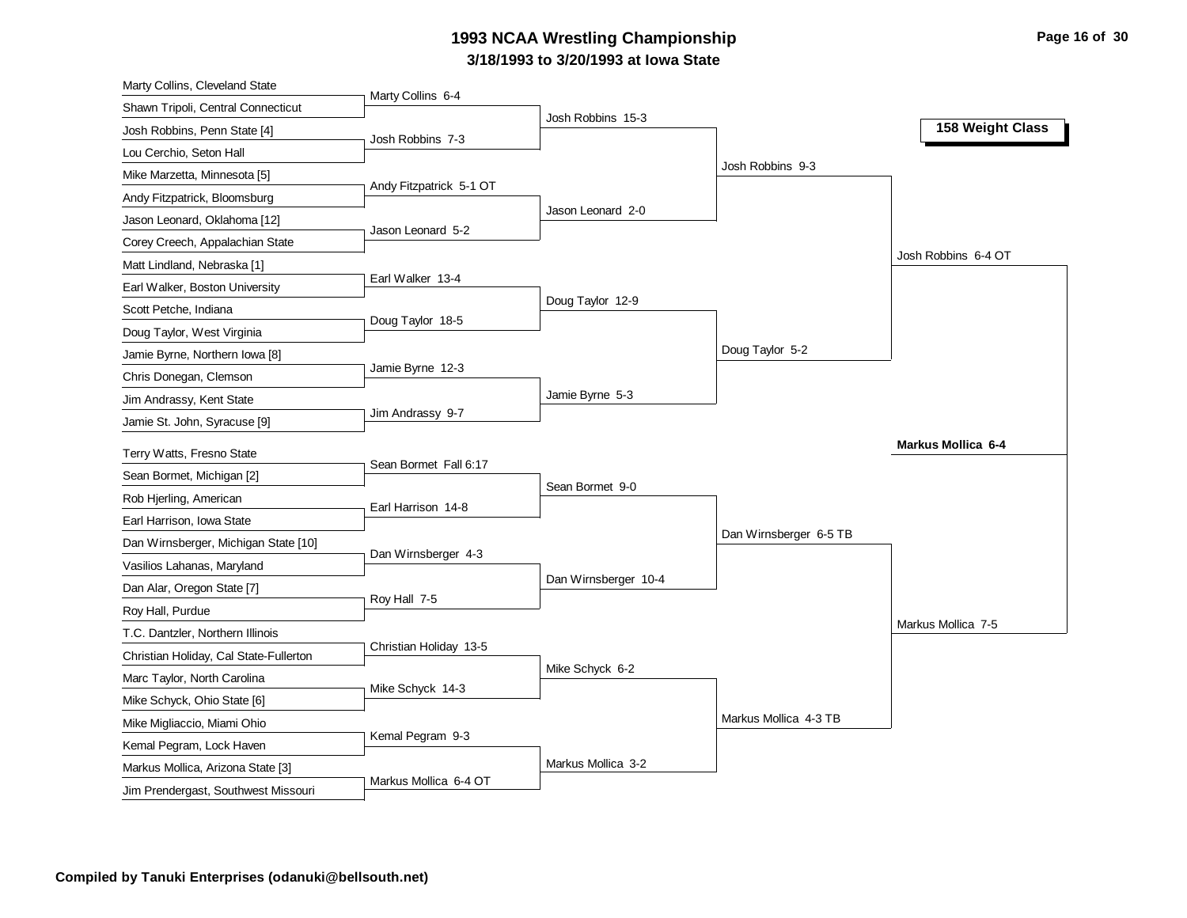# **3/18/1993 to 3/20/1993 at Iowa State 1993 NCAA Wrestling Championship Page 16 of 30 Page 16 of 30**

| Marty Collins, Cleveland State                                           |                         |                      |                        |                           |
|--------------------------------------------------------------------------|-------------------------|----------------------|------------------------|---------------------------|
| Shawn Tripoli, Central Connecticut                                       | Marty Collins 6-4       |                      |                        |                           |
| Josh Robbins, Penn State [4]                                             | Josh Robbins 7-3        | Josh Robbins 15-3    |                        | 158 Weight Class          |
| Lou Cerchio, Seton Hall                                                  |                         |                      |                        |                           |
| Mike Marzetta, Minnesota [5]                                             |                         |                      | Josh Robbins 9-3       |                           |
| Andy Fitzpatrick, Bloomsburg                                             | Andy Fitzpatrick 5-1 OT |                      |                        |                           |
| Jason Leonard, Oklahoma [12]                                             |                         | Jason Leonard 2-0    |                        |                           |
| Corey Creech, Appalachian State                                          | Jason Leonard 5-2       |                      |                        |                           |
| Matt Lindland, Nebraska [1]                                              |                         |                      |                        | Josh Robbins 6-4 OT       |
| Earl Walker, Boston University                                           | Earl Walker 13-4        |                      |                        |                           |
| Scott Petche, Indiana                                                    |                         | Doug Taylor 12-9     |                        |                           |
| Doug Taylor, West Virginia                                               | Doug Taylor 18-5        |                      |                        |                           |
| Jamie Byrne, Northern Iowa [8]                                           |                         |                      | Doug Taylor 5-2        |                           |
| Chris Donegan, Clemson                                                   | Jamie Byrne 12-3        |                      |                        |                           |
| Jim Andrassy, Kent State                                                 |                         | Jamie Byrne 5-3      |                        |                           |
| Jamie St. John, Syracuse [9]                                             | Jim Andrassy 9-7        |                      |                        |                           |
|                                                                          |                         |                      |                        | <b>Markus Mollica 6-4</b> |
| Terry Watts, Fresno State                                                | Sean Bormet Fall 6:17   |                      |                        |                           |
|                                                                          |                         |                      |                        |                           |
| Sean Bormet, Michigan [2]                                                |                         | Sean Bormet 9-0      |                        |                           |
| Rob Hjerling, American                                                   | Earl Harrison 14-8      |                      |                        |                           |
| Earl Harrison, Iowa State                                                |                         |                      | Dan Wirnsberger 6-5 TB |                           |
| Dan Wirnsberger, Michigan State [10]                                     | Dan Wirnsberger 4-3     |                      |                        |                           |
| Vasilios Lahanas, Maryland                                               |                         | Dan Wirnsberger 10-4 |                        |                           |
| Dan Alar, Oregon State [7]                                               | Roy Hall 7-5            |                      |                        |                           |
| Roy Hall, Purdue                                                         |                         |                      |                        | Markus Mollica 7-5        |
| T.C. Dantzler, Northern Illinois                                         | Christian Holiday 13-5  |                      |                        |                           |
| Christian Holiday, Cal State-Fullerton                                   |                         | Mike Schyck 6-2      |                        |                           |
| Marc Taylor, North Carolina                                              | Mike Schyck 14-3        |                      |                        |                           |
| Mike Schyck, Ohio State [6]                                              |                         |                      |                        |                           |
| Mike Migliaccio, Miami Ohio                                              | Kemal Pegram 9-3        |                      | Markus Mollica 4-3 TB  |                           |
| Kemal Pegram, Lock Haven                                                 |                         |                      |                        |                           |
| Markus Mollica, Arizona State [3]<br>Jim Prendergast, Southwest Missouri | Markus Mollica 6-4 OT   | Markus Mollica 3-2   |                        |                           |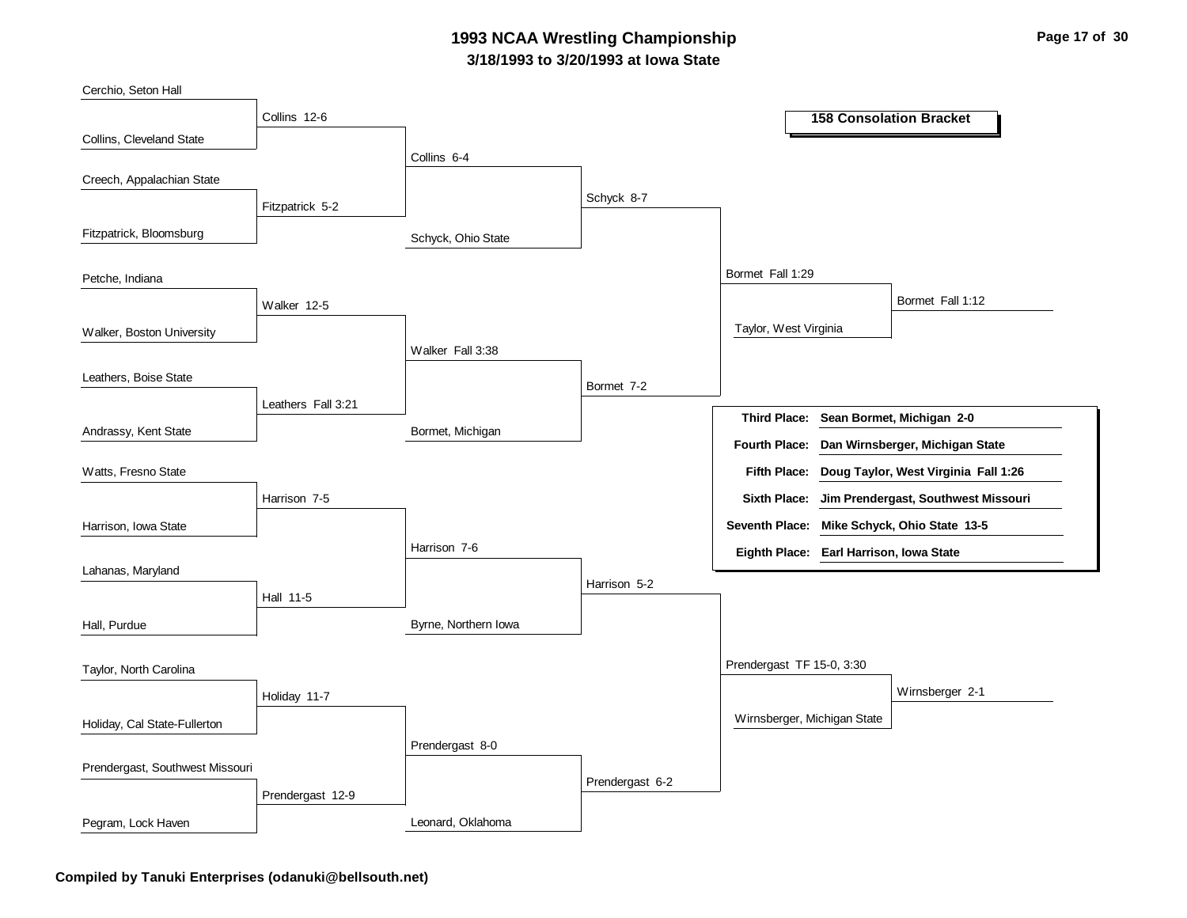### **3/18/1993 to 3/20/1993 at Iowa State 1993 NCAA Wrestling Championship Page 17 of 30**



**Compiled by Tanuki Enterprises (odanuki@bellsouth.net)**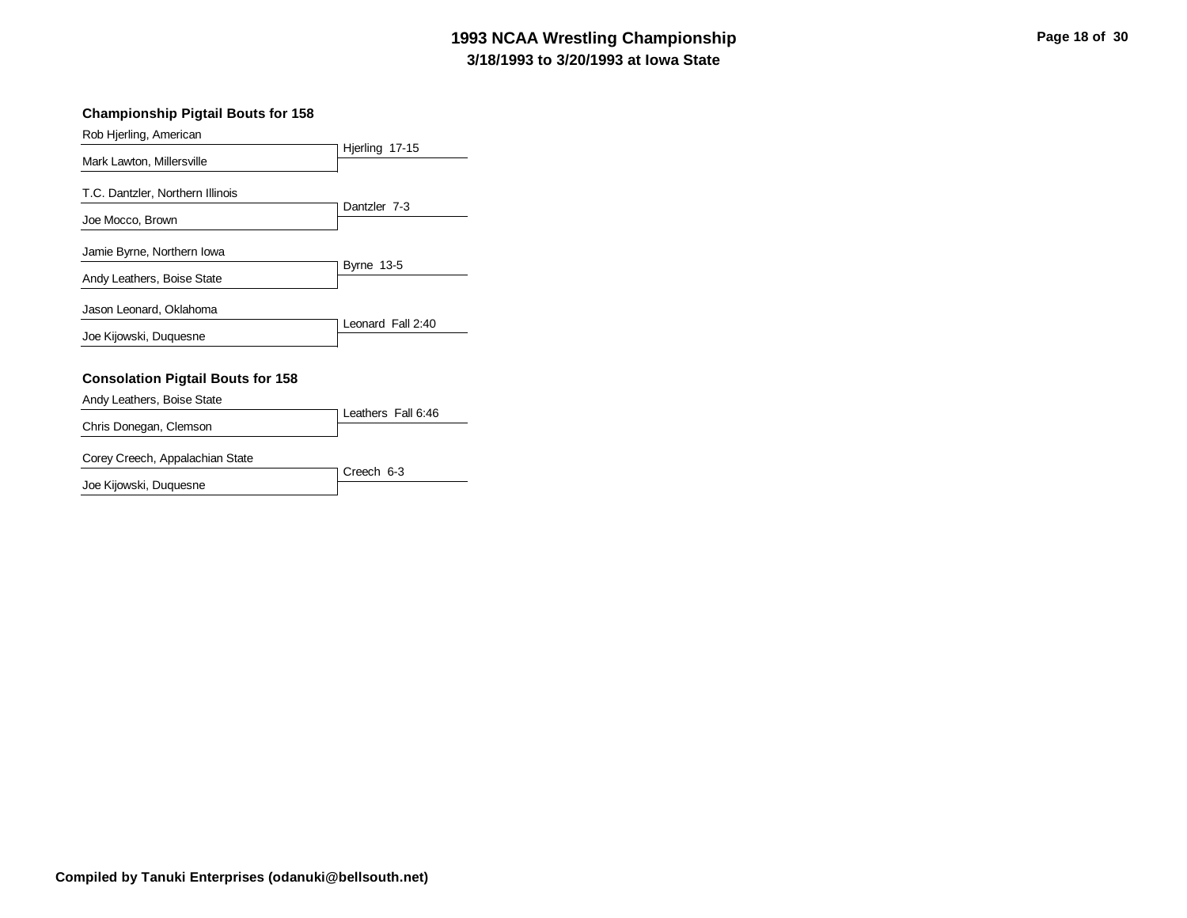# **3/18/1993 to 3/20/1993 at Iowa State 1993 NCAA Wrestling Championship Page 18 of 30 Page 18 of 30**

#### **Championship Pigtail Bouts for 158**

Rob Hjerling, American

|                                          | Hjerling 17-15     |
|------------------------------------------|--------------------|
| Mark Lawton, Millersville                |                    |
| T.C. Dantzler, Northern Illinois         |                    |
| Joe Mocco, Brown                         | Dantzler 7-3       |
| Jamie Byrne, Northern Iowa               |                    |
| Andy Leathers, Boise State               | <b>Byrne 13-5</b>  |
| Jason Leonard, Oklahoma                  |                    |
| Joe Kijowski, Duquesne                   | Leonard Fall 2:40  |
|                                          |                    |
| <b>Consolation Pigtail Bouts for 158</b> |                    |
| Andy Leathers, Boise State               |                    |
|                                          | Leathers Fall 6:46 |
| Chris Donegan, Clemson                   |                    |

#### Corey Creech, Appalachian State

|                        | 7 Creech 6-3 |
|------------------------|--------------|
| Joe Kijowski, Duquesne |              |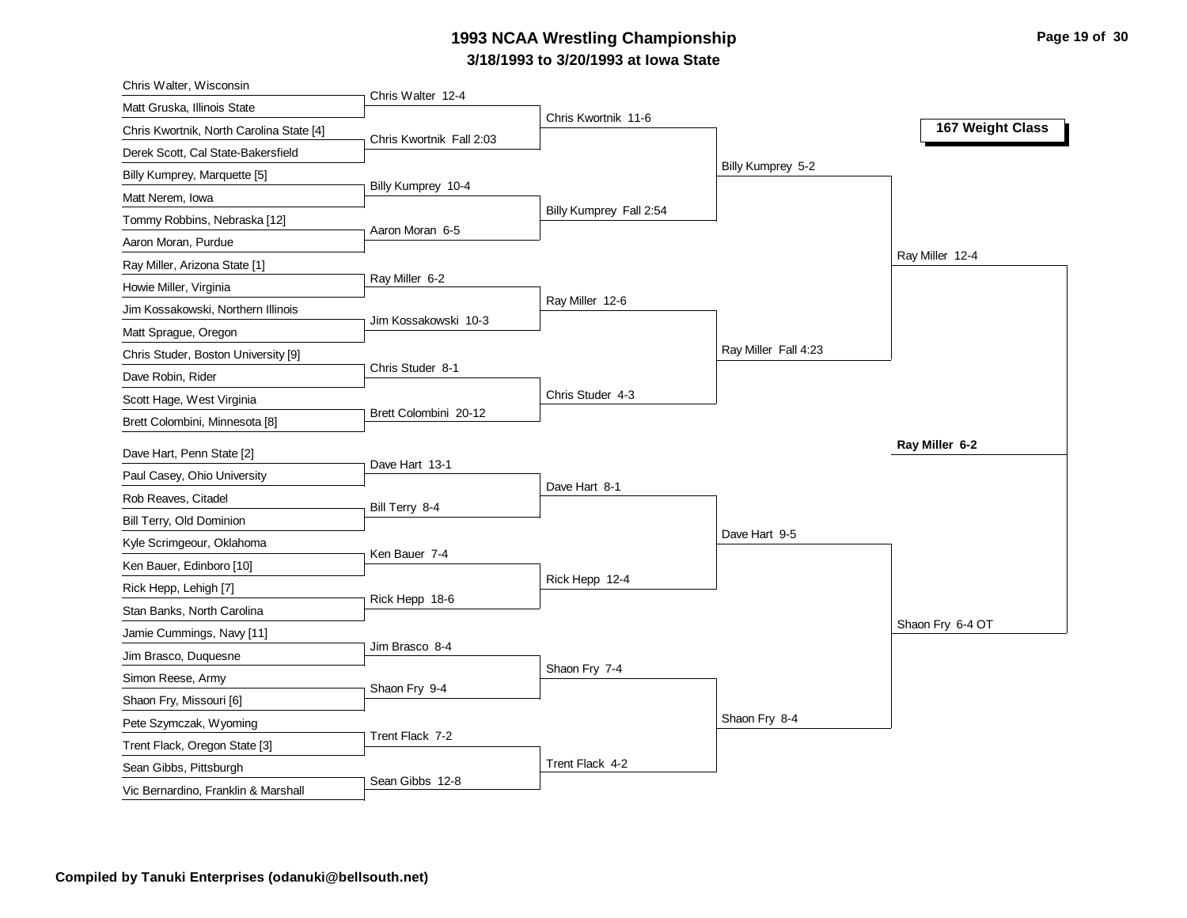# **3/18/1993 to 3/20/1993 at Iowa State 1993 NCAA Wrestling Championship Page 19 of 30 Page 19 of 30**

| Chris Walter, Wisconsin                                       |                          |                         |                      |                  |
|---------------------------------------------------------------|--------------------------|-------------------------|----------------------|------------------|
| Matt Gruska, Illinois State                                   | Chris Walter 12-4        | Chris Kwortnik 11-6     |                      |                  |
| Chris Kwortnik, North Carolina State [4]                      | Chris Kwortnik Fall 2:03 |                         |                      | 167 Weight Class |
| Derek Scott, Cal State-Bakersfield                            |                          |                         |                      |                  |
| Billy Kumprey, Marquette [5]                                  |                          |                         | Billy Kumprey 5-2    |                  |
| Matt Nerem, Iowa                                              | Billy Kumprey 10-4       |                         |                      |                  |
| Tommy Robbins, Nebraska [12]                                  |                          | Billy Kumprey Fall 2:54 |                      |                  |
| Aaron Moran, Purdue                                           | Aaron Moran 6-5          |                         |                      |                  |
| Ray Miller, Arizona State [1]                                 |                          |                         |                      | Ray Miller 12-4  |
| Howie Miller, Virginia                                        | Ray Miller 6-2           |                         |                      |                  |
| Jim Kossakowski, Northern Illinois                            |                          | Ray Miller 12-6         |                      |                  |
| Matt Sprague, Oregon                                          | Jim Kossakowski 10-3     |                         |                      |                  |
| Chris Studer, Boston University [9]                           |                          |                         | Ray Miller Fall 4:23 |                  |
| Dave Robin, Rider                                             | Chris Studer 8-1         |                         |                      |                  |
| Scott Hage, West Virginia                                     |                          | Chris Studer 4-3        |                      |                  |
| Brett Colombini, Minnesota [8]                                | Brett Colombini 20-12    |                         |                      |                  |
|                                                               |                          |                         |                      | Ray Miller 6-2   |
|                                                               |                          |                         |                      |                  |
| Dave Hart, Penn State [2]                                     | Dave Hart 13-1           |                         |                      |                  |
| Paul Casey, Ohio University                                   |                          | Dave Hart 8-1           |                      |                  |
| Rob Reaves, Citadel                                           | Bill Terry 8-4           |                         |                      |                  |
| Bill Terry, Old Dominion                                      |                          |                         | Dave Hart 9-5        |                  |
| Kyle Scrimgeour, Oklahoma                                     | Ken Bauer 7-4            |                         |                      |                  |
| Ken Bauer, Edinboro [10]                                      |                          | Rick Hepp 12-4          |                      |                  |
| Rick Hepp, Lehigh [7]                                         | Rick Hepp 18-6           |                         |                      |                  |
| Stan Banks, North Carolina                                    |                          |                         |                      | Shaon Fry 6-4 OT |
| Jamie Cummings, Navy [11]                                     | Jim Brasco 8-4           |                         |                      |                  |
| Jim Brasco, Duquesne                                          |                          | Shaon Fry 7-4           |                      |                  |
| Simon Reese, Army                                             | Shaon Fry 9-4            |                         |                      |                  |
| Shaon Fry, Missouri [6]                                       |                          |                         |                      |                  |
| Pete Szymczak, Wyoming                                        | Trent Flack 7-2          |                         | Shaon Fry 8-4        |                  |
| Trent Flack, Oregon State [3]                                 |                          |                         |                      |                  |
| Sean Gibbs, Pittsburgh<br>Vic Bernardino, Franklin & Marshall | Sean Gibbs 12-8          | Trent Flack 4-2         |                      |                  |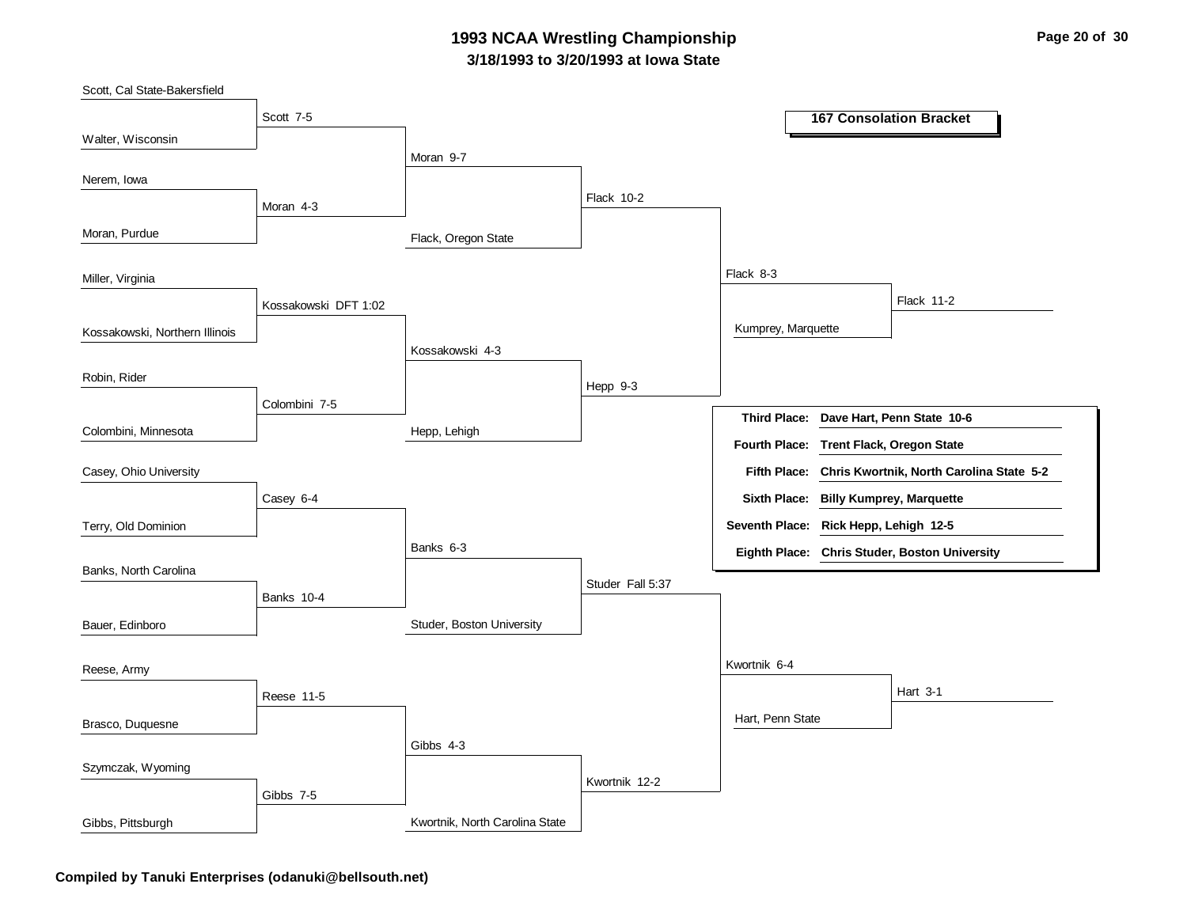### **3/18/1993 to 3/20/1993 at Iowa State 1993 NCAA Wrestling Championship Page 20 of 30**

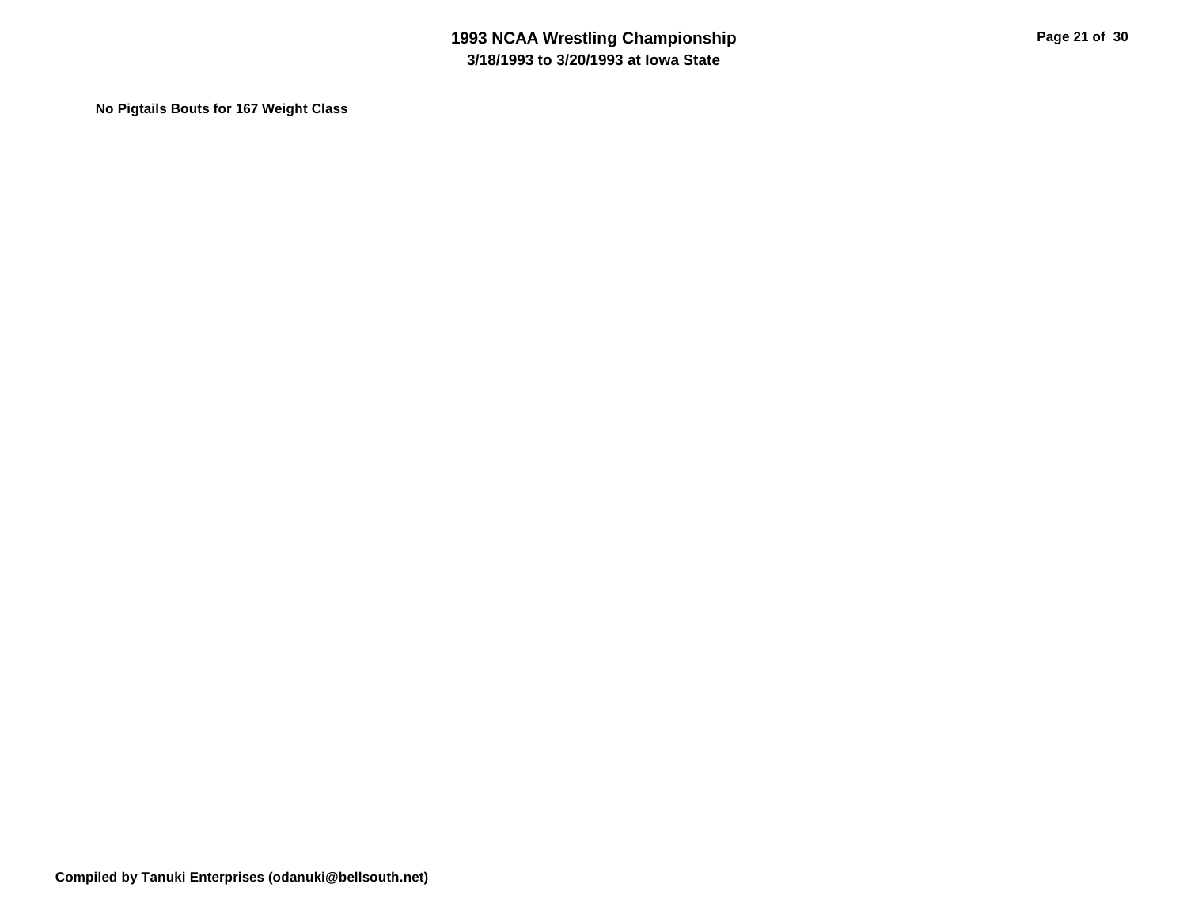**No Pigtails Bouts for 167 Weight Class**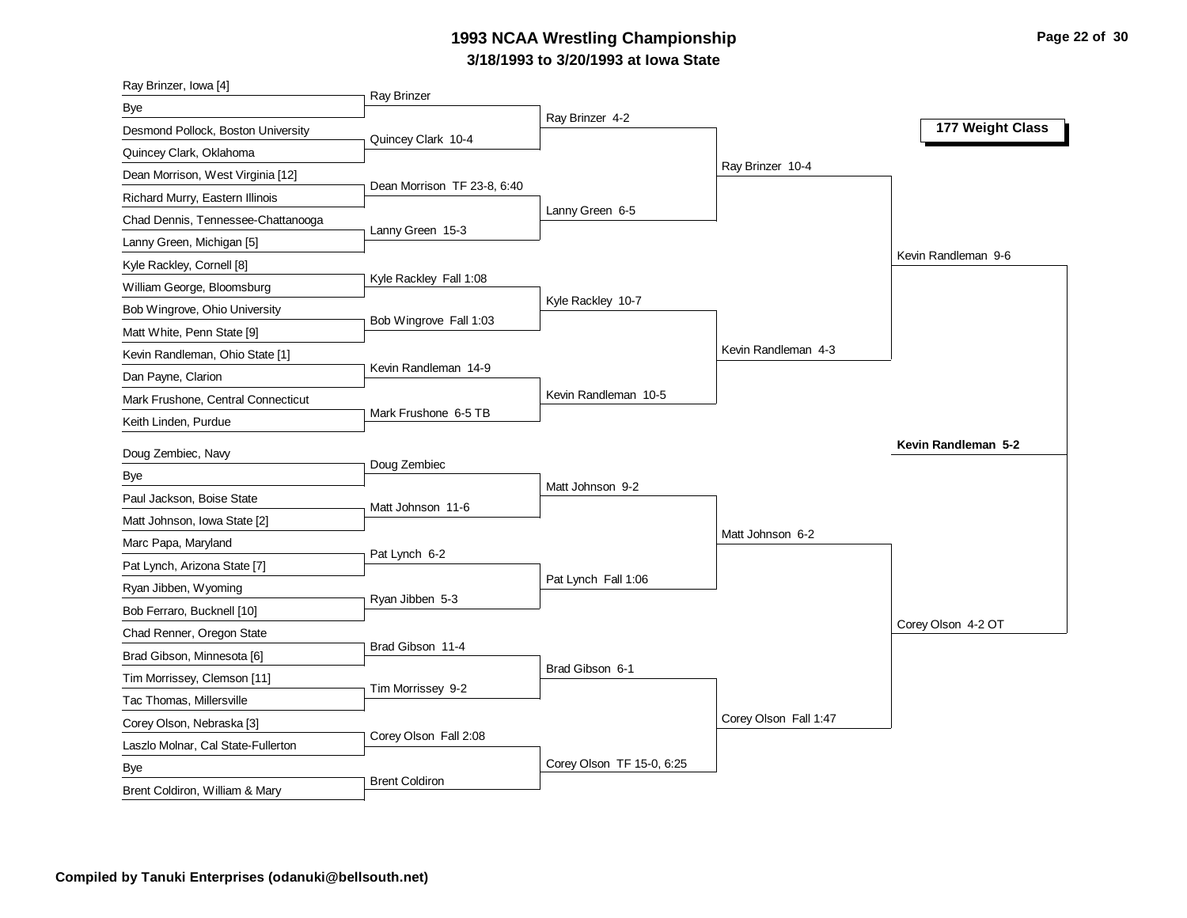# **3/18/1993 to 3/20/1993 at Iowa State 1993 NCAA Wrestling Championship Page 22 of 30**

| Ray Brinzer, Iowa [4]                 |                             |                           |                       |                     |
|---------------------------------------|-----------------------------|---------------------------|-----------------------|---------------------|
| Bye                                   | <b>Ray Brinzer</b>          |                           |                       |                     |
| Desmond Pollock, Boston University    | Quincey Clark 10-4          | Ray Brinzer 4-2           |                       | 177 Weight Class    |
| Quincey Clark, Oklahoma               |                             |                           |                       |                     |
| Dean Morrison, West Virginia [12]     |                             |                           | Ray Brinzer 10-4      |                     |
| Richard Murry, Eastern Illinois       | Dean Morrison TF 23-8, 6:40 |                           |                       |                     |
| Chad Dennis, Tennessee-Chattanooga    | Lanny Green 15-3            | Lanny Green 6-5           |                       |                     |
| Lanny Green, Michigan [5]             |                             |                           |                       |                     |
| Kyle Rackley, Cornell [8]             |                             |                           |                       | Kevin Randleman 9-6 |
| William George, Bloomsburg            | Kyle Rackley Fall 1:08      |                           |                       |                     |
| Bob Wingrove, Ohio University         |                             | Kyle Rackley 10-7         |                       |                     |
| Matt White, Penn State [9]            | Bob Wingrove Fall 1:03      |                           |                       |                     |
| Kevin Randleman, Ohio State [1]       |                             |                           | Kevin Randleman 4-3   |                     |
| Dan Payne, Clarion                    | Kevin Randleman 14-9        |                           |                       |                     |
| Mark Frushone, Central Connecticut    |                             | Kevin Randleman 10-5      |                       |                     |
| Keith Linden, Purdue                  | Mark Frushone 6-5 TB        |                           |                       |                     |
|                                       |                             |                           |                       |                     |
|                                       |                             |                           |                       | Kevin Randleman 5-2 |
| Doug Zembiec, Navy                    | Doug Zembiec                |                           |                       |                     |
| Bye                                   |                             | Matt Johnson 9-2          |                       |                     |
| Paul Jackson, Boise State             | Matt Johnson 11-6           |                           |                       |                     |
| Matt Johnson, Iowa State [2]          |                             |                           | Matt Johnson 6-2      |                     |
| Marc Papa, Maryland                   | Pat Lynch 6-2               |                           |                       |                     |
| Pat Lynch, Arizona State [7]          |                             | Pat Lynch Fall 1:06       |                       |                     |
| Ryan Jibben, Wyoming                  | Ryan Jibben 5-3             |                           |                       |                     |
| Bob Ferraro, Bucknell [10]            |                             |                           |                       | Corey Olson 4-2 OT  |
| Chad Renner, Oregon State             | Brad Gibson 11-4            |                           |                       |                     |
| Brad Gibson, Minnesota [6]            |                             | Brad Gibson 6-1           |                       |                     |
| Tim Morrissey, Clemson [11]           | Tim Morrissey 9-2           |                           |                       |                     |
| Tac Thomas, Millersville              |                             |                           |                       |                     |
| Corey Olson, Nebraska [3]             | Corey Olson Fall 2:08       |                           | Corey Olson Fall 1:47 |                     |
| Laszlo Molnar, Cal State-Fullerton    |                             | Corey Olson TF 15-0, 6:25 |                       |                     |
| Bye<br>Brent Coldiron, William & Mary | <b>Brent Coldiron</b>       |                           |                       |                     |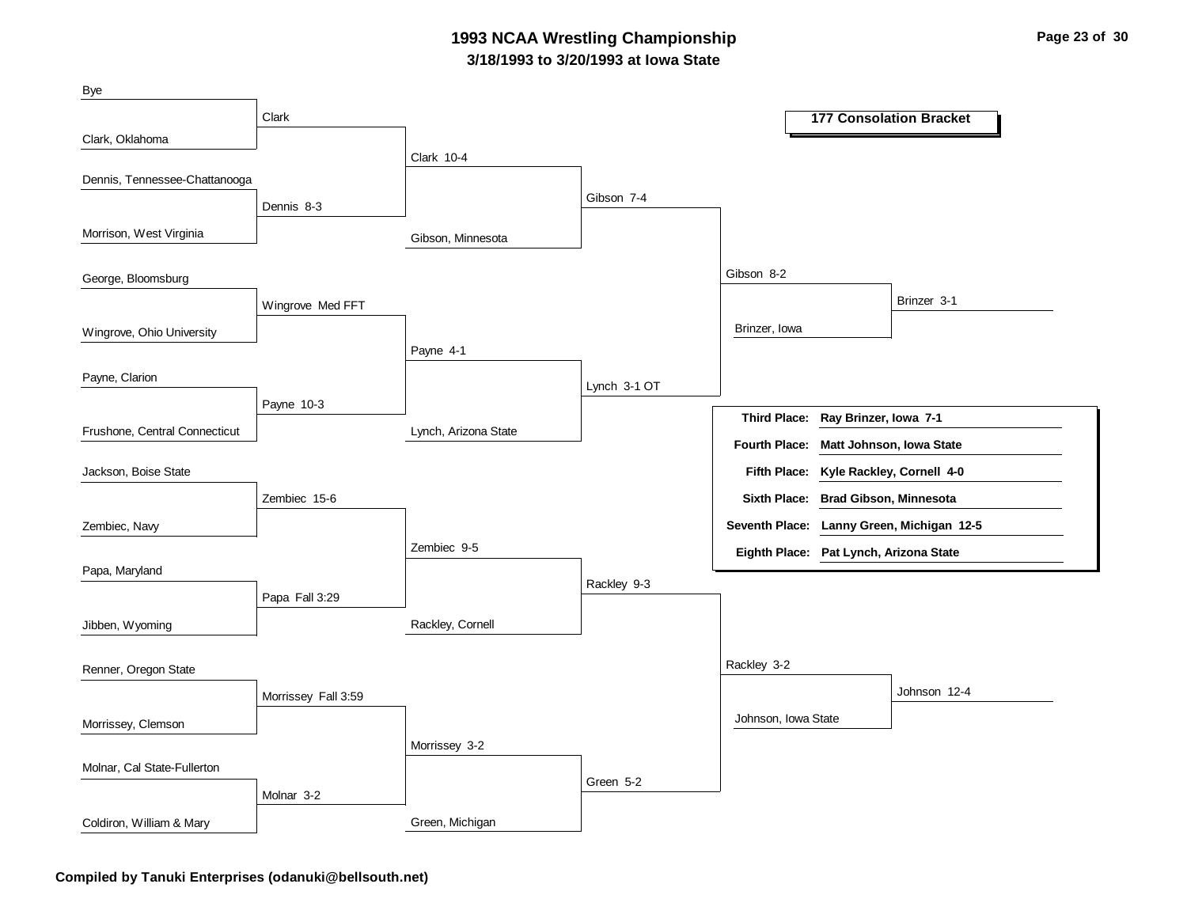### **3/18/1993 to 3/20/1993 at Iowa State 1993 NCAA Wrestling Championship Page 23 of 30**



**Compiled by Tanuki Enterprises (odanuki@bellsouth.net)**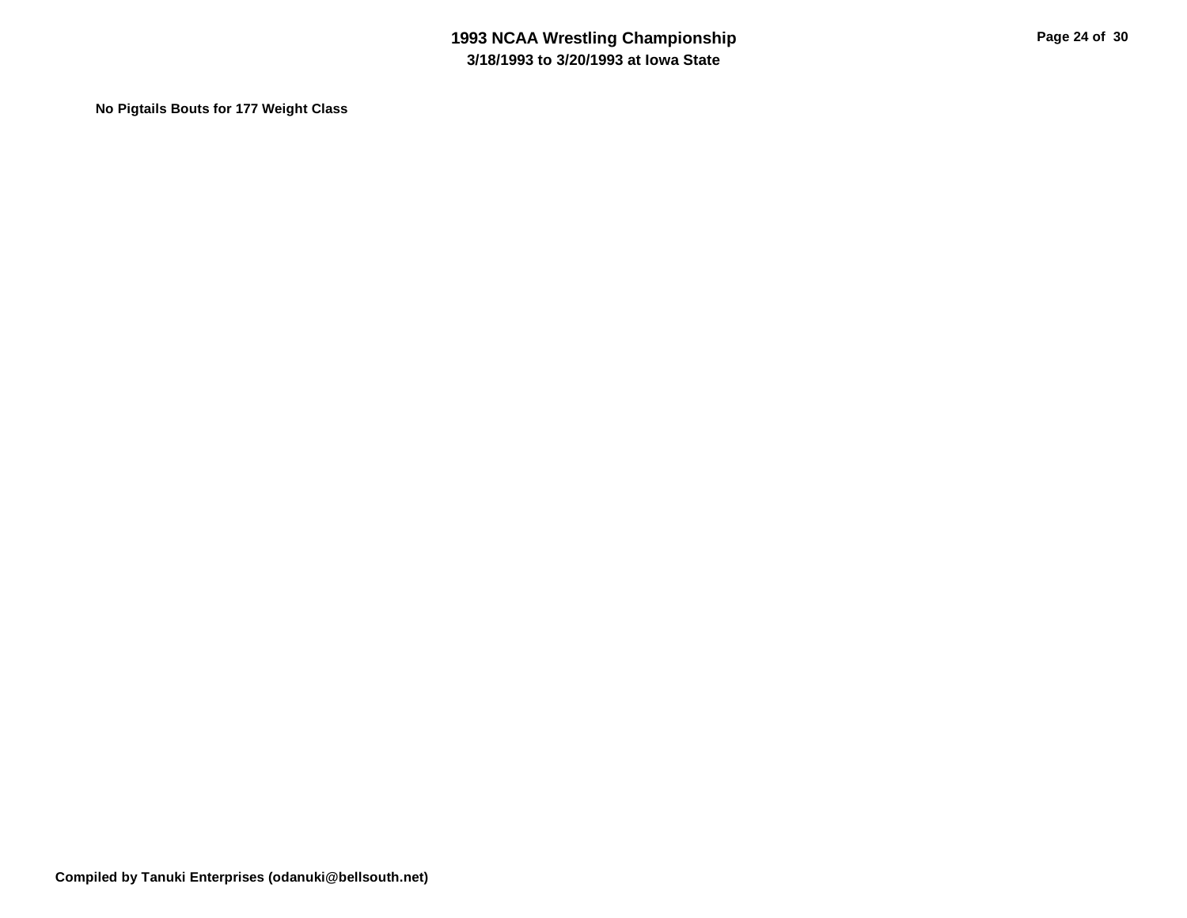**No Pigtails Bouts for 177 Weight Class**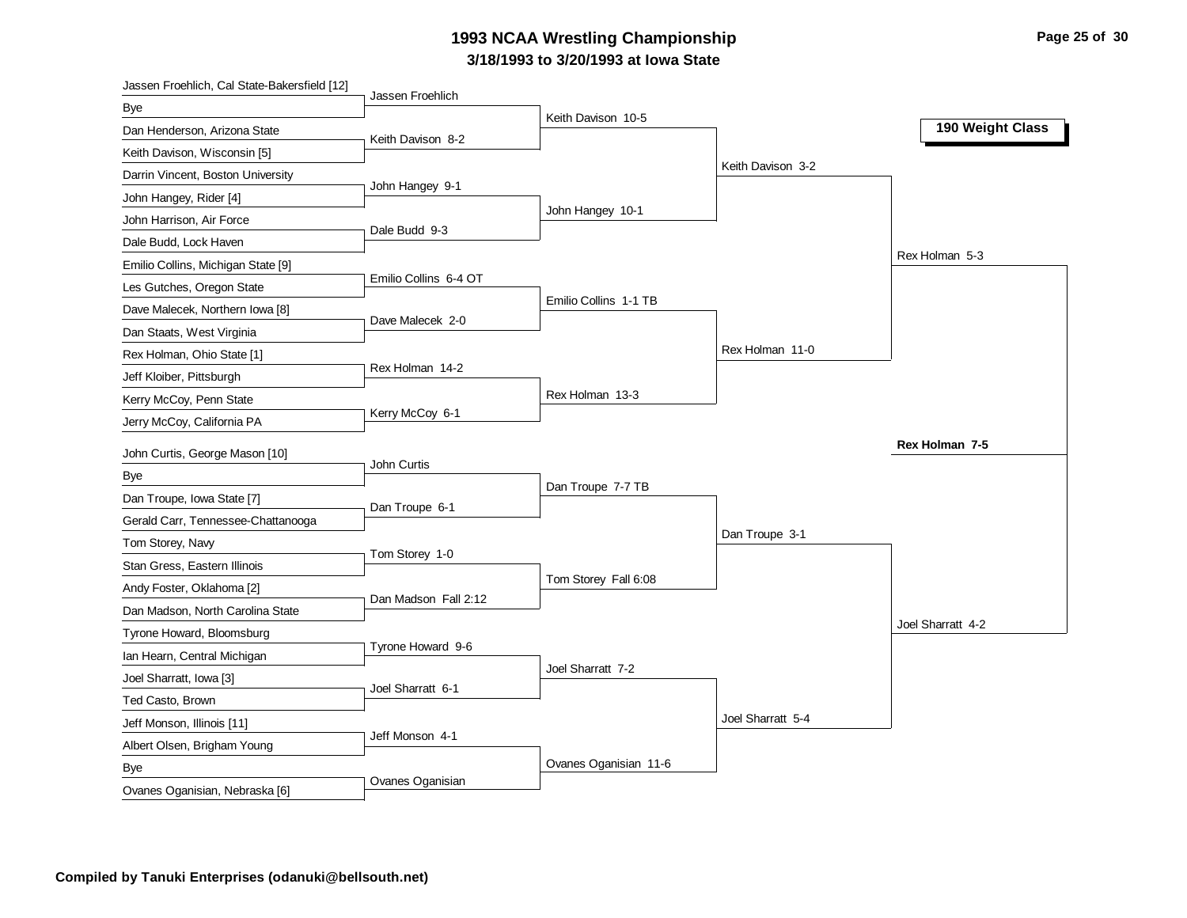# **3/18/1993 to 3/20/1993 at Iowa State 1993 NCAA Wrestling Championship Page 25 of 30**

| Jassen Froehlich, Cal State-Bakersfield [12] |                       |                       |                   |                   |
|----------------------------------------------|-----------------------|-----------------------|-------------------|-------------------|
| Bye                                          | Jassen Froehlich      | Keith Davison 10-5    |                   |                   |
| Dan Henderson, Arizona State                 | Keith Davison 8-2     |                       |                   | 190 Weight Class  |
| Keith Davison, Wisconsin [5]                 |                       |                       |                   |                   |
| Darrin Vincent, Boston University            |                       |                       | Keith Davison 3-2 |                   |
| John Hangey, Rider [4]                       | John Hangey 9-1       |                       |                   |                   |
| John Harrison, Air Force                     |                       | John Hangey 10-1      |                   |                   |
| Dale Budd, Lock Haven                        | Dale Budd 9-3         |                       |                   |                   |
| Emilio Collins, Michigan State [9]           |                       |                       |                   | Rex Holman 5-3    |
| Les Gutches, Oregon State                    | Emilio Collins 6-4 OT |                       |                   |                   |
| Dave Malecek, Northern Iowa [8]              |                       | Emilio Collins 1-1 TB |                   |                   |
| Dan Staats, West Virginia                    | Dave Malecek 2-0      |                       |                   |                   |
| Rex Holman, Ohio State [1]                   |                       |                       | Rex Holman 11-0   |                   |
| Jeff Kloiber, Pittsburgh                     | Rex Holman 14-2       |                       |                   |                   |
| Kerry McCoy, Penn State                      |                       | Rex Holman 13-3       |                   |                   |
| Jerry McCoy, California PA                   | Kerry McCoy 6-1       |                       |                   |                   |
|                                              |                       |                       |                   | Rex Holman 7-5    |
| John Curtis, George Mason [10]               | John Curtis           |                       |                   |                   |
|                                              |                       |                       |                   |                   |
| <b>Bye</b>                                   |                       | Dan Troupe 7-7 TB     |                   |                   |
| Dan Troupe, Iowa State [7]                   | Dan Troupe 6-1        |                       |                   |                   |
| Gerald Carr, Tennessee-Chattanooga           |                       |                       | Dan Troupe 3-1    |                   |
| Tom Storey, Navy                             | Tom Storey 1-0        |                       |                   |                   |
| Stan Gress, Eastern Illinois                 |                       | Tom Storey Fall 6:08  |                   |                   |
| Andy Foster, Oklahoma [2]                    | Dan Madson Fall 2:12  |                       |                   |                   |
| Dan Madson, North Carolina State             |                       |                       |                   | Joel Sharratt 4-2 |
| Tyrone Howard, Bloomsburg                    | Tyrone Howard 9-6     |                       |                   |                   |
| Ian Hearn, Central Michigan                  |                       | Joel Sharratt 7-2     |                   |                   |
| Joel Sharratt, Iowa [3]                      | Joel Sharratt 6-1     |                       |                   |                   |
| Ted Casto, Brown                             |                       |                       |                   |                   |
| Jeff Monson, Illinois [11]                   | Jeff Monson 4-1       |                       | Joel Sharratt 5-4 |                   |
| Albert Olsen, Brigham Young                  |                       |                       |                   |                   |
| <b>Bye</b><br>Ovanes Oganisian, Nebraska [6] | Ovanes Oganisian      | Ovanes Oganisian 11-6 |                   |                   |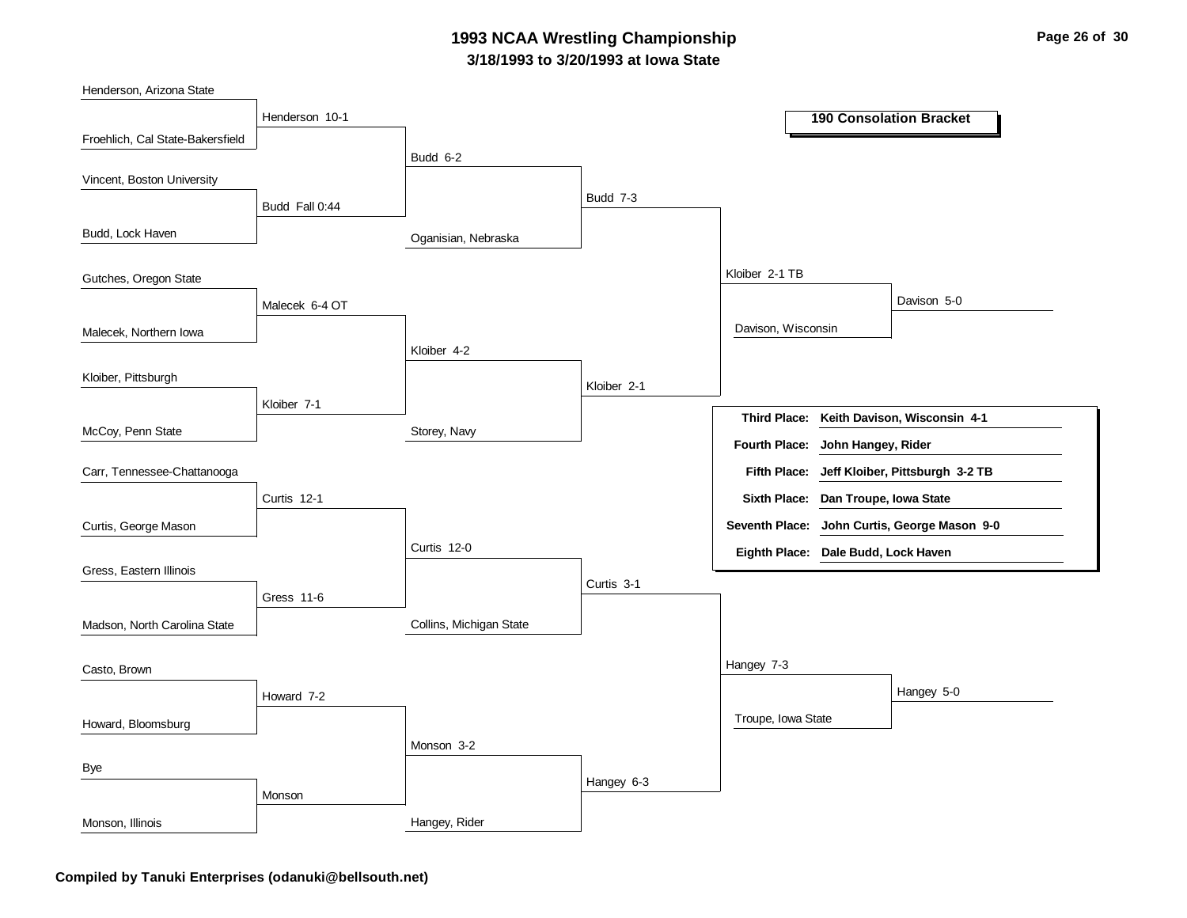### **3/18/1993 to 3/20/1993 at Iowa State 1993 NCAA Wrestling Championship Page 26 of 30**

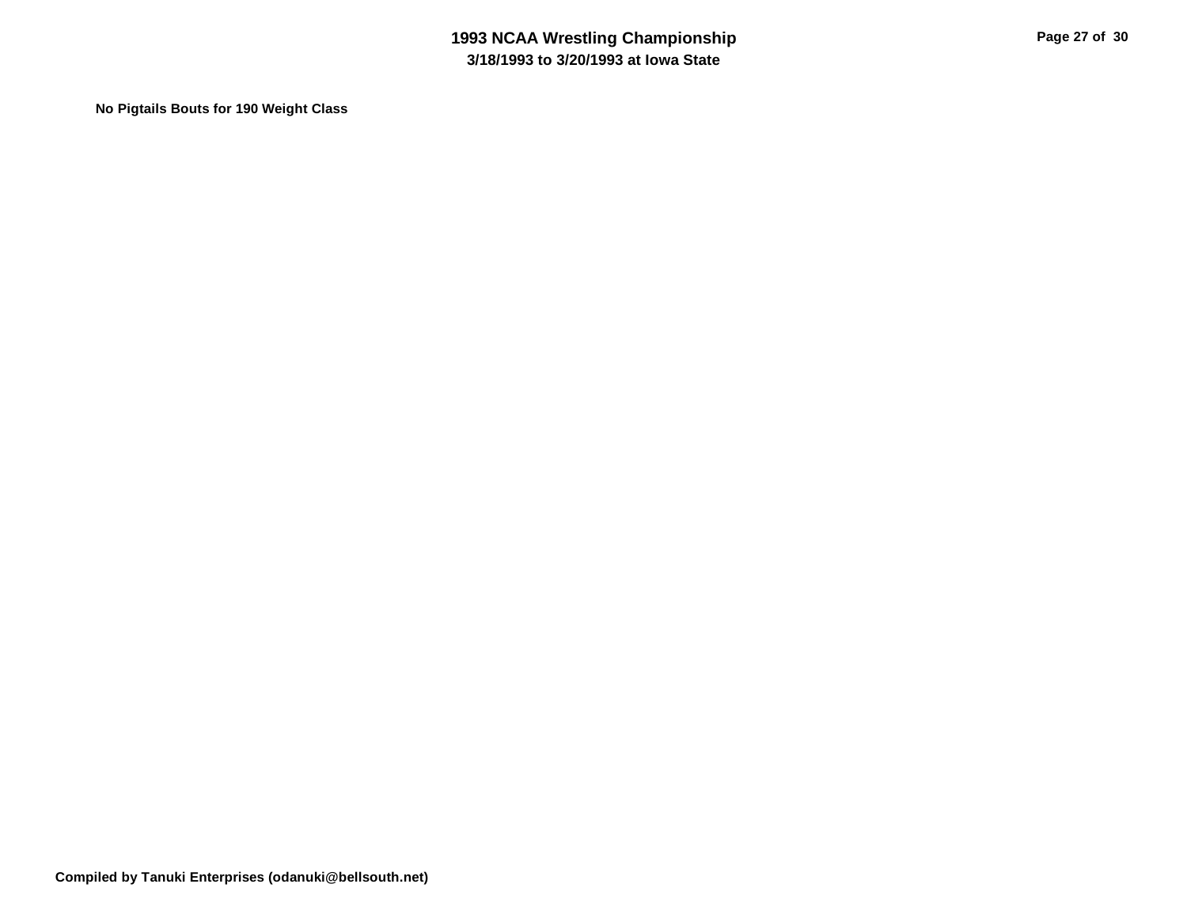**No Pigtails Bouts for 190 Weight Class**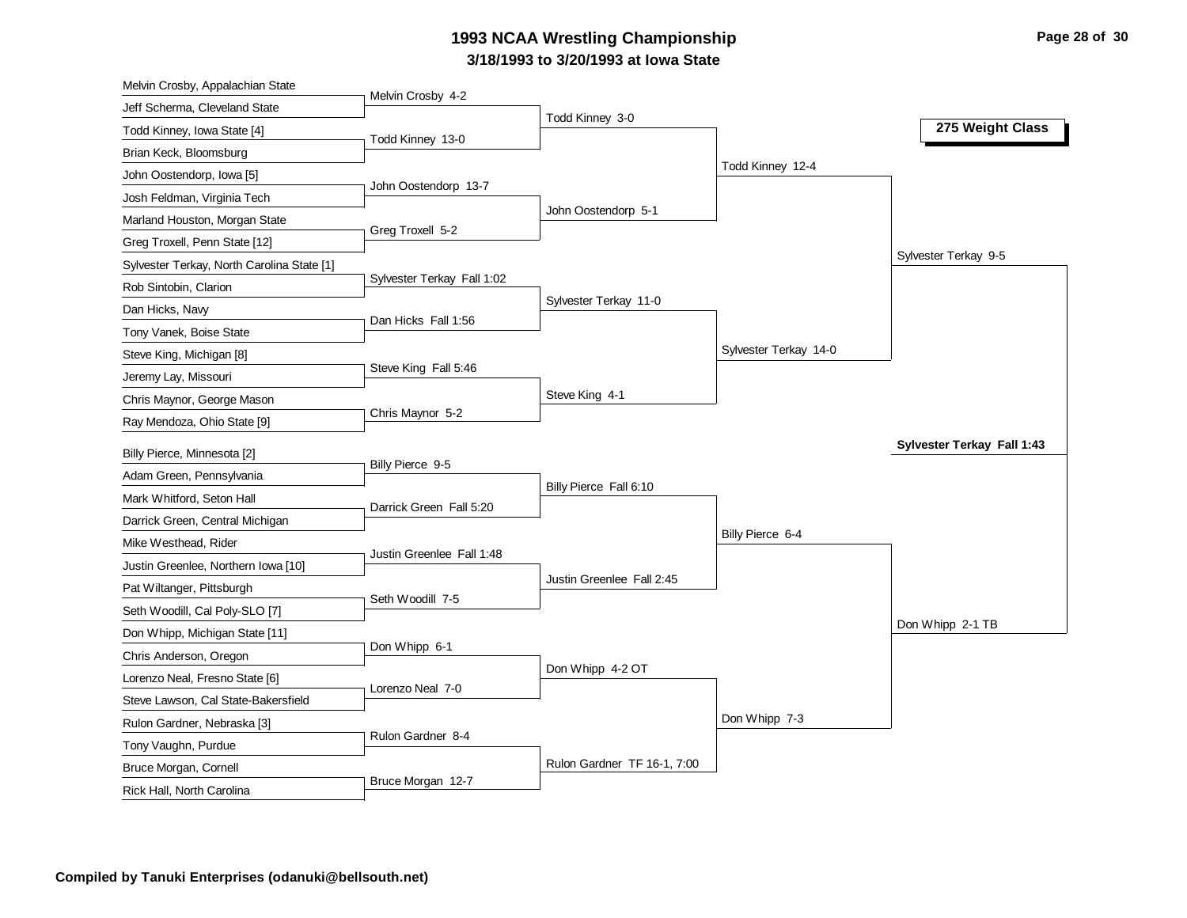# **3/18/1993 to 3/20/1993 at Iowa State 1993 NCAA Wrestling Championship Page 28 of 30**

| Melvin Crosby, Appalachian State           |                            |                             |                       |                            |
|--------------------------------------------|----------------------------|-----------------------------|-----------------------|----------------------------|
| Jeff Scherma, Cleveland State              | Melvin Crosby 4-2          |                             |                       |                            |
| Todd Kinney, Iowa State [4]                | Todd Kinney 13-0           | Todd Kinney 3-0             |                       | 275 Weight Class           |
| Brian Keck, Bloomsburg                     |                            |                             |                       |                            |
| John Oostendorp, Iowa [5]                  |                            |                             | Todd Kinney 12-4      |                            |
| Josh Feldman, Virginia Tech                | John Oostendorp 13-7       |                             |                       |                            |
| Marland Houston, Morgan State              |                            | John Oostendorp 5-1         |                       |                            |
| Greg Troxell, Penn State [12]              | Greg Troxell 5-2           |                             |                       |                            |
| Sylvester Terkay, North Carolina State [1] |                            |                             |                       | Sylvester Terkay 9-5       |
| Rob Sintobin, Clarion                      | Sylvester Terkay Fall 1:02 |                             |                       |                            |
| Dan Hicks, Navy                            |                            | Sylvester Terkay 11-0       |                       |                            |
| Tony Vanek, Boise State                    | Dan Hicks Fall 1:56        |                             |                       |                            |
| Steve King, Michigan [8]                   |                            |                             | Sylvester Terkay 14-0 |                            |
| Jeremy Lay, Missouri                       | Steve King Fall 5:46       |                             |                       |                            |
| Chris Maynor, George Mason                 |                            | Steve King 4-1              |                       |                            |
| Ray Mendoza, Ohio State [9]                | Chris Maynor 5-2           |                             |                       |                            |
|                                            |                            |                             |                       |                            |
|                                            |                            |                             |                       | Sylvester Terkay Fall 1:43 |
| Billy Pierce, Minnesota [2]                | Billy Pierce 9-5           |                             |                       |                            |
| Adam Green, Pennsylvania                   |                            | Billy Pierce Fall 6:10      |                       |                            |
| Mark Whitford, Seton Hall                  | Darrick Green Fall 5:20    |                             |                       |                            |
| Darrick Green, Central Michigan            |                            |                             | Billy Pierce 6-4      |                            |
| Mike Westhead, Rider                       | Justin Greenlee Fall 1:48  |                             |                       |                            |
| Justin Greenlee, Northern Iowa [10]        |                            | Justin Greenlee Fall 2:45   |                       |                            |
| Pat Wiltanger, Pittsburgh                  | Seth Woodill 7-5           |                             |                       |                            |
| Seth Woodill, Cal Poly-SLO [7]             |                            |                             |                       |                            |
| Don Whipp, Michigan State [11]             |                            |                             |                       | Don Whipp 2-1 TB           |
| Chris Anderson, Oregon                     | Don Whipp 6-1              |                             |                       |                            |
| Lorenzo Neal, Fresno State [6]             | Lorenzo Neal 7-0           | Don Whipp 4-2 OT            |                       |                            |
| Steve Lawson, Cal State-Bakersfield        |                            |                             |                       |                            |
| Rulon Gardner, Nebraska [3]                |                            |                             | Don Whipp 7-3         |                            |
| Tony Vaughn, Purdue                        | Rulon Gardner 8-4          |                             |                       |                            |
| Bruce Morgan, Cornell                      | Bruce Morgan 12-7          | Rulon Gardner TF 16-1, 7:00 |                       |                            |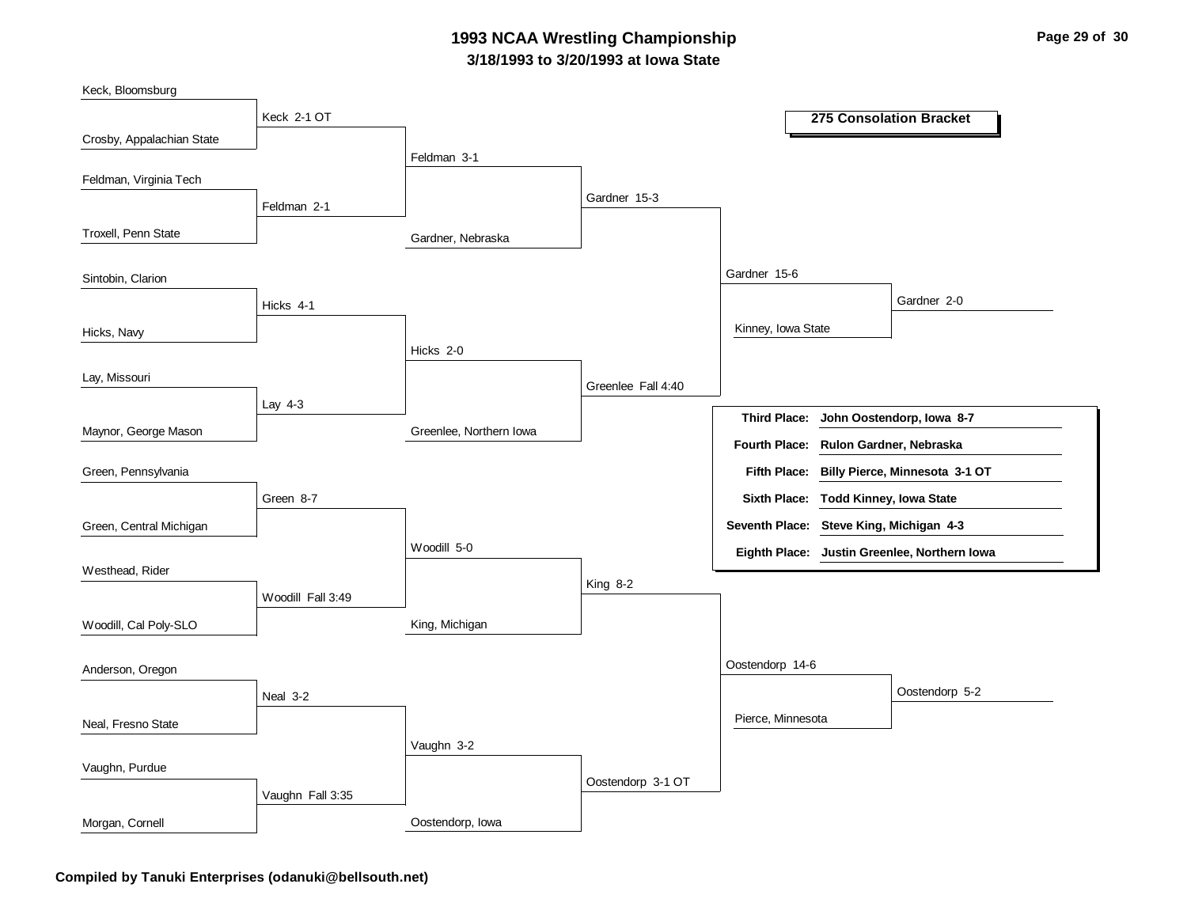### **3/18/1993 to 3/20/1993 at Iowa State 1993 NCAA Wrestling Championship Page 29 of 30**



**Compiled by Tanuki Enterprises (odanuki@bellsouth.net)**